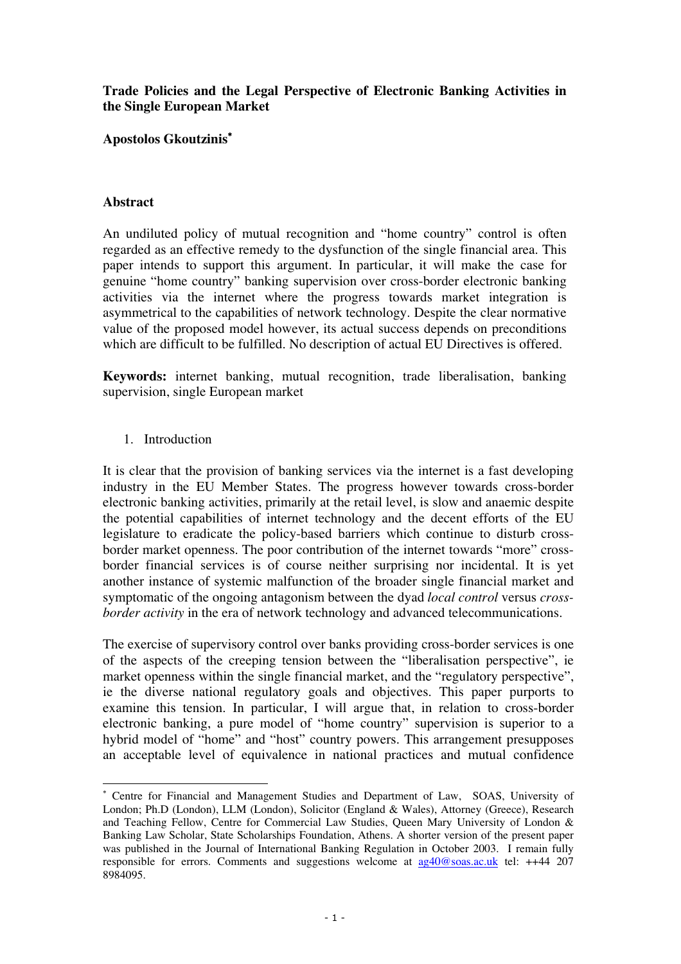# **Trade Policies and the Legal Perspective of Electronic Banking Activities in the Single European Market**

### **Apostolos Gkoutzinis**

### **Abstract**

An undiluted policy of mutual recognition and "home country" control is often regarded as an effective remedy to the dysfunction of the single financial area. This paper intends to support this argument. In particular, it will make the case for genuine "home country" banking supervision over cross-border electronic banking activities via the internet where the progress towards market integration is asymmetrical to the capabilities of network technology. Despite the clear normative value of the proposed model however, its actual success depends on preconditions which are difficult to be fulfilled. No description of actual EU Directives is offered.

**Keywords:** internet banking, mutual recognition, trade liberalisation, banking supervision, single European market

1. Introduction

It is clear that the provision of banking services via the internet is a fast developing industry in the EU Member States. The progress however towards cross-border electronic banking activities, primarily at the retail level, is slow and anaemic despite the potential capabilities of internet technology and the decent efforts of the EU legislature to eradicate the policy-based barriers which continue to disturb crossborder market openness. The poor contribution of the internet towards "more" crossborder financial services is of course neither surprising nor incidental. It is yet another instance of systemic malfunction of the broader single financial market and symptomatic of the ongoing antagonism between the dyad *local control* versus *crossborder activity* in the era of network technology and advanced telecommunications.

The exercise of supervisory control over banks providing cross-border services is one of the aspects of the creeping tension between the "liberalisation perspective", ie market openness within the single financial market, and the "regulatory perspective", ie the diverse national regulatory goals and objectives. This paper purports to examine this tension. In particular, I will argue that, in relation to cross-border electronic banking, a pure model of "home country" supervision is superior to a hybrid model of "home" and "host" country powers. This arrangement presupposes an acceptable level of equivalence in national practices and mutual confidence

 Centre for Financial and Management Studies and Department of Law, SOAS, University of London; Ph.D (London), LLM (London), Solicitor (England & Wales), Attorney (Greece), Research and Teaching Fellow, Centre for Commercial Law Studies, Queen Mary University of London & Banking Law Scholar, State Scholarships Foundation, Athens. A shorter version of the present paper was published in the Journal of International Banking Regulation in October 2003. I remain fully responsible for errors. Comments and suggestions welcome at  $a\alpha/40\omega$ soas.ac.uk tel: ++44 207 8984095.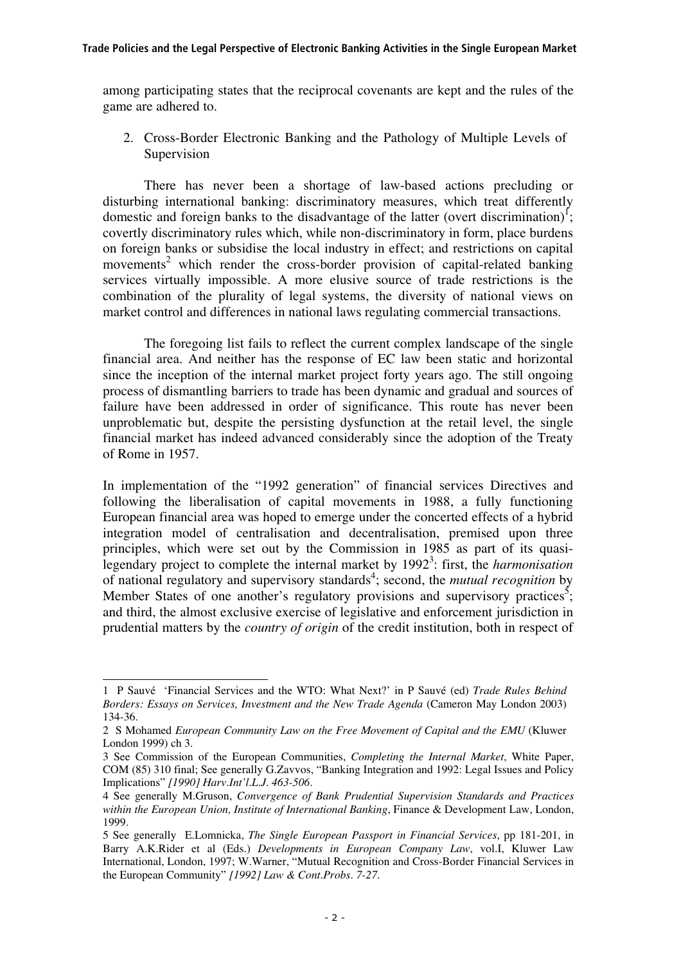### **Trade Policies and the Legal Perspective of Electronic Banking Activities in the Single European Market**

among participating states that the reciprocal covenants are kept and the rules of the game are adhered to.

2. Cross-Border Electronic Banking and the Pathology of Multiple Levels of Supervision

There has never been a shortage of law-based actions precluding or disturbing international banking: discriminatory measures, which treat differently domestic and foreign banks to the disadvantage of the latter (overt discrimination)<sup>1</sup>; covertly discriminatory rules which, while non-discriminatory in form, place burdens on foreign banks or subsidise the local industry in effect; and restrictions on capital movements<sup>2</sup> which render the cross-border provision of capital-related banking services virtually impossible. A more elusive source of trade restrictions is the combination of the plurality of legal systems, the diversity of national views on market control and differences in national laws regulating commercial transactions.

The foregoing list fails to reflect the current complex landscape of the single financial area. And neither has the response of EC law been static and horizontal since the inception of the internal market project forty years ago. The still ongoing process of dismantling barriers to trade has been dynamic and gradual and sources of failure have been addressed in order of significance. This route has never been unproblematic but, despite the persisting dysfunction at the retail level, the single financial market has indeed advanced considerably since the adoption of the Treaty of Rome in 1957.

In implementation of the "1992 generation" of financial services Directives and following the liberalisation of capital movements in 1988, a fully functioning European financial area was hoped to emerge under the concerted effects of a hybrid integration model of centralisation and decentralisation, premised upon three principles, which were set out by the Commission in 1985 as part of its quasilegendary project to complete the internal market by 1992<sup>3</sup>: first, the *harmonisation* of national regulatory and supervisory standards<sup>4</sup>; second, the *mutual recognition* by Member States of one another's regulatory provisions and supervisory practices<sup>5</sup>; and third, the almost exclusive exercise of legislative and enforcement jurisdiction in prudential matters by the *country of origin* of the credit institution, both in respect of

<sup>1</sup> P Sauvé 'Financial Services and the WTO: What Next?' in P Sauvé (ed) *Trade Rules Behind Borders: Essays on Services, Investment and the New Trade Agenda* (Cameron May London 2003) 134-36.

<sup>2</sup> S Mohamed *European Community Law on the Free Movement of Capital and the EMU* (Kluwer London 1999) ch 3.

<sup>3</sup> See Commission of the European Communities, *Completing the Internal Market*, White Paper, COM (85) 310 final; See generally G.Zavvos, "Banking Integration and 1992: Legal Issues and Policy Implications" *[1990] Harv.Int'l.L.J. 463-506*.

<sup>4</sup> See generally M.Gruson, *Convergence of Bank Prudential Supervision Standards and Practices within the European Union, Institute of International Banking*, Finance & Development Law, London, 1999.

<sup>5</sup> See generally E.Lomnicka, *The Single European Passport in Financial Services*, pp 181-201, in Barry A.K.Rider et al (Eds.) *Developments in European Company Law*, vol.I, Kluwer Law International, London, 1997; W.Warner, "Mutual Recognition and Cross-Border Financial Services in the European Community" *[1992] Law & Cont.Probs. 7-27.*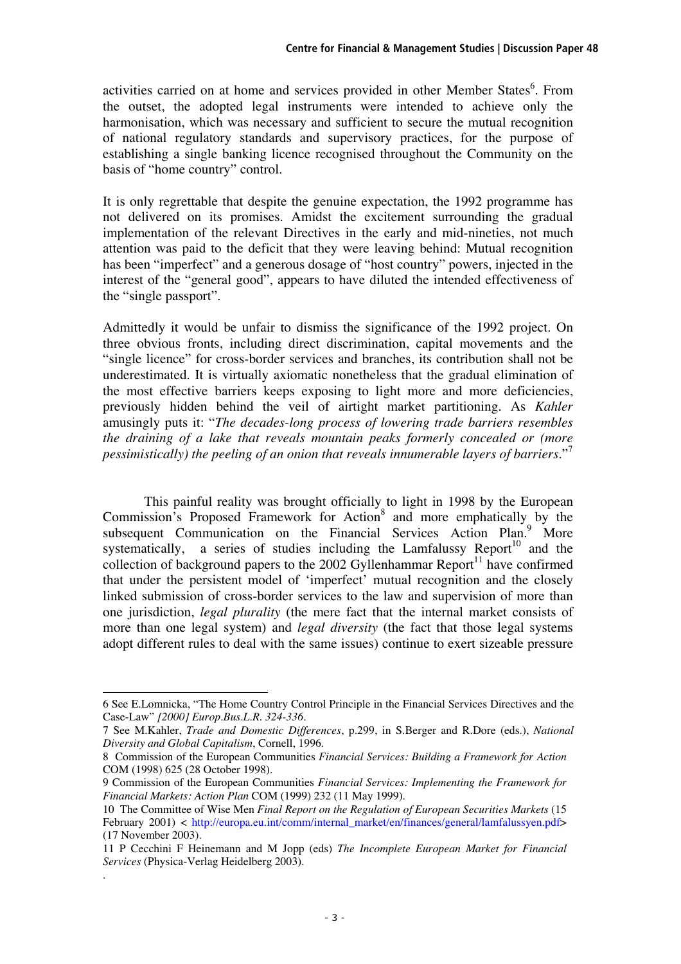activities carried on at home and services provided in other Member States<sup>6</sup>. From the outset, the adopted legal instruments were intended to achieve only the harmonisation, which was necessary and sufficient to secure the mutual recognition of national regulatory standards and supervisory practices, for the purpose of establishing a single banking licence recognised throughout the Community on the basis of "home country" control.

It is only regrettable that despite the genuine expectation, the 1992 programme has not delivered on its promises. Amidst the excitement surrounding the gradual implementation of the relevant Directives in the early and mid-nineties, not much attention was paid to the deficit that they were leaving behind: Mutual recognition has been "imperfect" and a generous dosage of "host country" powers, injected in the interest of the "general good", appears to have diluted the intended effectiveness of the "single passport".

Admittedly it would be unfair to dismiss the significance of the 1992 project. On three obvious fronts, including direct discrimination, capital movements and the "single licence" for cross-border services and branches, its contribution shall not be underestimated. It is virtually axiomatic nonetheless that the gradual elimination of the most effective barriers keeps exposing to light more and more deficiencies, previously hidden behind the veil of airtight market partitioning. As *Kahler* amusingly puts it: "*The decades-long process of lowering trade barriers resembles the draining of a lake that reveals mountain peaks formerly concealed or (more pessimistically) the peeling of an onion that reveals innumerable layers of barriers.*"

This painful reality was brought officially to light in 1998 by the European Commission's Proposed Framework for Action<sup>8</sup> and more emphatically by the subsequent Communication on the Financial Services Action Plan.<sup>9</sup> More systematically, a series of studies including the Lamfalussy Report<sup>10</sup> and the collection of background papers to the 2002 Gyllenhammar Report<sup>11</sup> have confirmed that under the persistent model of 'imperfect' mutual recognition and the closely linked submission of cross-border services to the law and supervision of more than one jurisdiction, *legal plurality* (the mere fact that the internal market consists of more than one legal system) and *legal diversity* (the fact that those legal systems adopt different rules to deal with the same issues) continue to exert sizeable pressure

.

<sup>6</sup> See E.Lomnicka, "The Home Country Control Principle in the Financial Services Directives and the Case-Law" *[2000] Europ.Bus.L.R. 324-336*.

<sup>7</sup> See M.Kahler, *Trade and Domestic Differences*, p.299, in S.Berger and R.Dore (eds.), *National Diversity and Global Capitalism*, Cornell, 1996.

<sup>8</sup> Commission of the European Communities *Financial Services: Building a Framework for Action* COM (1998) 625 (28 October 1998).

<sup>9</sup> Commission of the European Communities *Financial Services: Implementing the Framework for Financial Markets: Action Plan* COM (1999) 232 (11 May 1999).

<sup>10</sup> The Committee of Wise Men *Final Report on the Regulation of European Securities Markets* (15 February 2001) < http://europa.eu.int/comm/internal\_market/en/finances/general/lamfalussyen.pdf> (17 November 2003).

<sup>11</sup> P Cecchini F Heinemann and M Jopp (eds) *The Incomplete European Market for Financial Services* (Physica-Verlag Heidelberg 2003).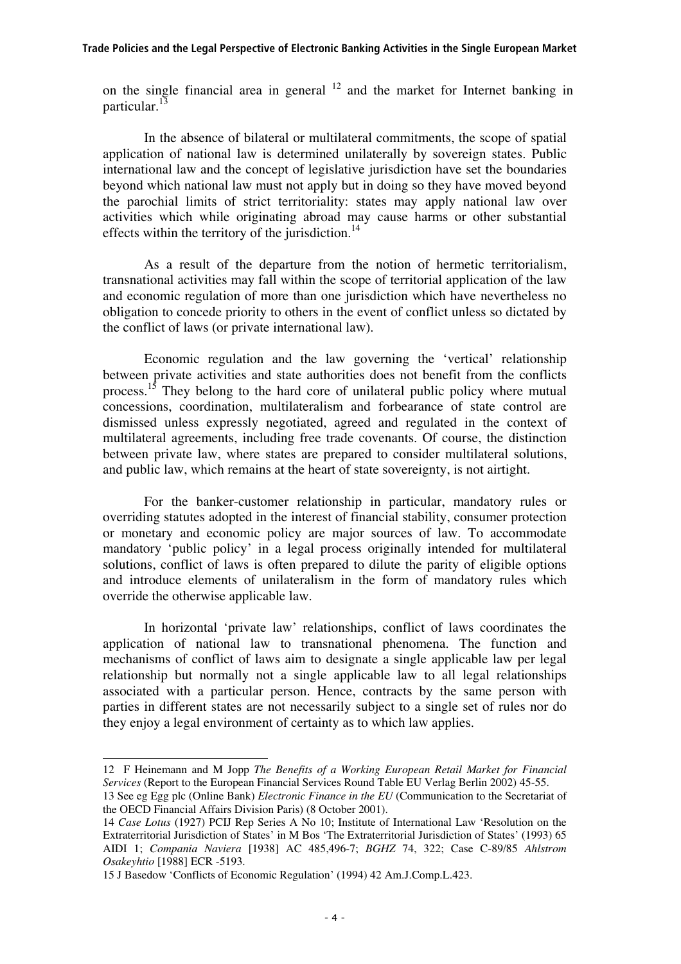on the single financial area in general  $12$  and the market for Internet banking in particular.13

In the absence of bilateral or multilateral commitments, the scope of spatial application of national law is determined unilaterally by sovereign states. Public international law and the concept of legislative jurisdiction have set the boundaries beyond which national law must not apply but in doing so they have moved beyond the parochial limits of strict territoriality: states may apply national law over activities which while originating abroad may cause harms or other substantial effects within the territory of the jurisdiction. $14$ 

As a result of the departure from the notion of hermetic territorialism, transnational activities may fall within the scope of territorial application of the law and economic regulation of more than one jurisdiction which have nevertheless no obligation to concede priority to others in the event of conflict unless so dictated by the conflict of laws (or private international law).

Economic regulation and the law governing the 'vertical' relationship between private activities and state authorities does not benefit from the conflicts process.<sup>15</sup> They belong to the hard core of unilateral public policy where mutual concessions, coordination, multilateralism and forbearance of state control are dismissed unless expressly negotiated, agreed and regulated in the context of multilateral agreements, including free trade covenants. Of course, the distinction between private law, where states are prepared to consider multilateral solutions, and public law, which remains at the heart of state sovereignty, is not airtight.

For the banker-customer relationship in particular, mandatory rules or overriding statutes adopted in the interest of financial stability, consumer protection or monetary and economic policy are major sources of law. To accommodate mandatory 'public policy' in a legal process originally intended for multilateral solutions, conflict of laws is often prepared to dilute the parity of eligible options and introduce elements of unilateralism in the form of mandatory rules which override the otherwise applicable law.

In horizontal 'private law' relationships, conflict of laws coordinates the application of national law to transnational phenomena. The function and mechanisms of conflict of laws aim to designate a single applicable law per legal relationship but normally not a single applicable law to all legal relationships associated with a particular person. Hence, contracts by the same person with parties in different states are not necessarily subject to a single set of rules nor do they enjoy a legal environment of certainty as to which law applies.

<sup>12</sup> F Heinemann and M Jopp *The Benefits of a Working European Retail Market for Financial Services* (Report to the European Financial Services Round Table EU Verlag Berlin 2002) 45-55.

<sup>13</sup> See eg Egg plc (Online Bank) *Electronic Finance in the EU* (Communication to the Secretariat of the OECD Financial Affairs Division Paris) (8 October 2001).

<sup>14</sup> *Case Lotus* (1927) PCIJ Rep Series A No 10; Institute of International Law 'Resolution on the Extraterritorial Jurisdiction of States' in M Bos 'The Extraterritorial Jurisdiction of States' (1993) 65 AIDI 1; *Compania Naviera* [1938] AC 485,496-7; *BGHZ* 74, 322; Case C-89/85 *Ahlstrom Osakeyhtio* [1988] ECR -5193.

<sup>15</sup> J Basedow 'Conflicts of Economic Regulation' (1994) 42 Am.J.Comp.L.423.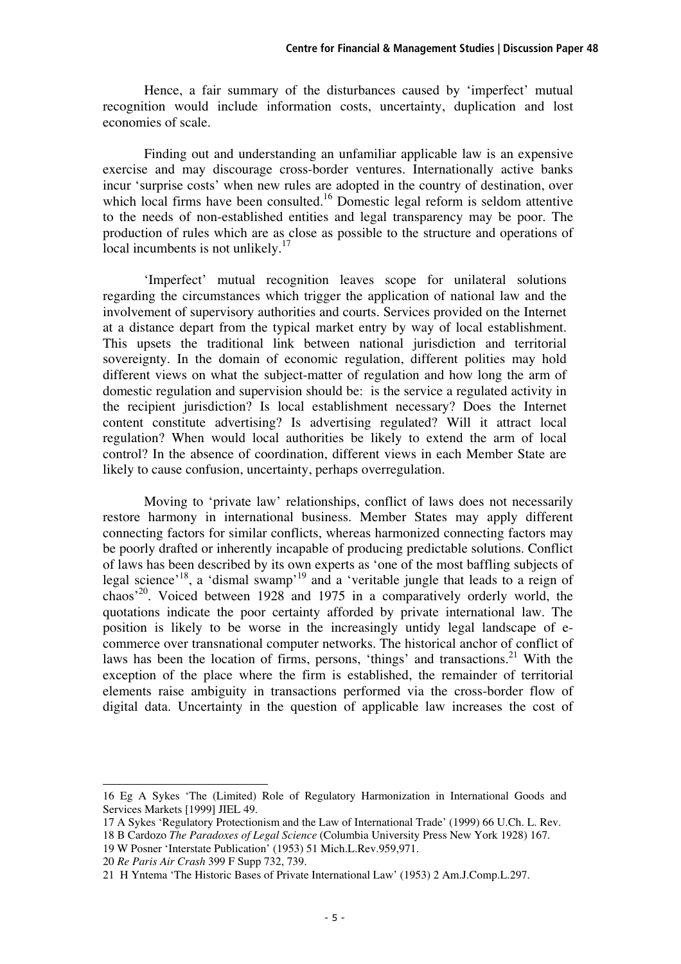Hence, a fair summary of the disturbances caused by 'imperfect' mutual recognition would include information costs, uncertainty, duplication and lost economies of scale.

Finding out and understanding an unfamiliar applicable law is an expensive exercise and may discourage cross-border ventures. Internationally active banks incur 'surprise costs' when new rules are adopted in the country of destination, over which local firms have been consulted.<sup>16</sup> Domestic legal reform is seldom attentive to the needs of non-established entities and legal transparency may be poor. The production of rules which are as close as possible to the structure and operations of local incumbents is not unlikely.<sup>17</sup>

'Imperfect' mutual recognition leaves scope for unilateral solutions regarding the circumstances which trigger the application of national law and the involvement of supervisory authorities and courts. Services provided on the Internet at a distance depart from the typical market entry by way of local establishment. This upsets the traditional link between national jurisdiction and territorial sovereignty. In the domain of economic regulation, different polities may hold different views on what the subject-matter of regulation and how long the arm of domestic regulation and supervision should be: is the service a regulated activity in the recipient jurisdiction? Is local establishment necessary? Does the Internet content constitute advertising? Is advertising regulated? Will it attract local regulation? When would local authorities be likely to extend the arm of local control? In the absence of coordination, different views in each Member State are likely to cause confusion, uncertainty, perhaps overregulation.

Moving to 'private law' relationships, conflict of laws does not necessarily restore harmony in international business. Member States may apply different connecting factors for similar conflicts, whereas harmonized connecting factors may be poorly drafted or inherently incapable of producing predictable solutions. Conflict of laws has been described by its own experts as 'one of the most baffling subjects of legal science'18, a 'dismal swamp'19 and a 'veritable jungle that leads to a reign of chaos'20. Voiced between 1928 and 1975 in a comparatively orderly world, the quotations indicate the poor certainty afforded by private international law. The position is likely to be worse in the increasingly untidy legal landscape of ecommerce over transnational computer networks. The historical anchor of conflict of laws has been the location of firms, persons, 'things' and transactions.<sup>21</sup> With the exception of the place where the firm is established, the remainder of territorial elements raise ambiguity in transactions performed via the cross-border flow of digital data. Uncertainty in the question of applicable law increases the cost of

<sup>16</sup> Eg A Sykes 'The (Limited) Role of Regulatory Harmonization in International Goods and Services Markets [1999] JIEL 49.

<sup>17</sup> A Sykes 'Regulatory Protectionism and the Law of International Trade' (1999) 66 U.Ch. L. Rev.

<sup>18</sup> B Cardozo *The Paradoxes of Legal Science* (Columbia University Press New York 1928) 167.

<sup>19</sup> W Posner 'Interstate Publication' (1953) 51 Mich.L.Rev.959,971.

<sup>20</sup> *Re Paris Air Crash* 399 F Supp 732, 739.

<sup>21</sup> H Yntema 'The Historic Bases of Private International Law' (1953) 2 Am.J.Comp.L.297.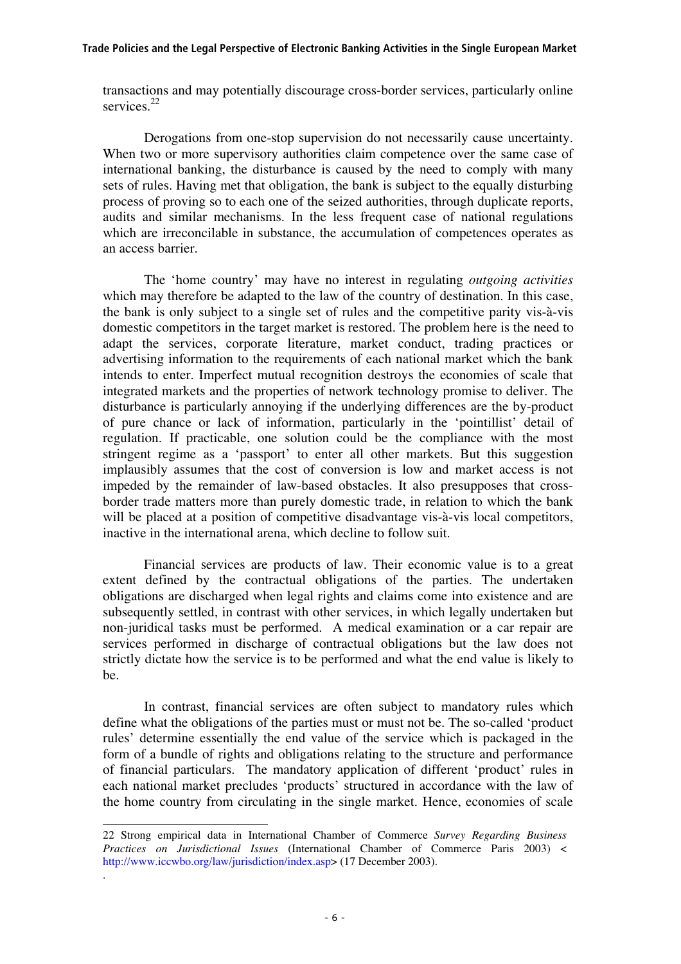#### **Trade Policies and the Legal Perspective of Electronic Banking Activities in the Single European Market**

transactions and may potentially discourage cross-border services, particularly online services.<sup>22</sup>

Derogations from one-stop supervision do not necessarily cause uncertainty. When two or more supervisory authorities claim competence over the same case of international banking, the disturbance is caused by the need to comply with many sets of rules. Having met that obligation, the bank is subject to the equally disturbing process of proving so to each one of the seized authorities, through duplicate reports, audits and similar mechanisms. In the less frequent case of national regulations which are irreconcilable in substance, the accumulation of competences operates as an access barrier.

The 'home country' may have no interest in regulating *outgoing activities*  which may therefore be adapted to the law of the country of destination. In this case, the bank is only subject to a single set of rules and the competitive parity vis-à-vis domestic competitors in the target market is restored. The problem here is the need to adapt the services, corporate literature, market conduct, trading practices or advertising information to the requirements of each national market which the bank intends to enter. Imperfect mutual recognition destroys the economies of scale that integrated markets and the properties of network technology promise to deliver. The disturbance is particularly annoying if the underlying differences are the by-product of pure chance or lack of information, particularly in the 'pointillist' detail of regulation. If practicable, one solution could be the compliance with the most stringent regime as a 'passport' to enter all other markets. But this suggestion implausibly assumes that the cost of conversion is low and market access is not impeded by the remainder of law-based obstacles. It also presupposes that crossborder trade matters more than purely domestic trade, in relation to which the bank will be placed at a position of competitive disadvantage vis-à-vis local competitors, inactive in the international arena, which decline to follow suit.

Financial services are products of law. Their economic value is to a great extent defined by the contractual obligations of the parties. The undertaken obligations are discharged when legal rights and claims come into existence and are subsequently settled, in contrast with other services, in which legally undertaken but non-juridical tasks must be performed. A medical examination or a car repair are services performed in discharge of contractual obligations but the law does not strictly dictate how the service is to be performed and what the end value is likely to be.

In contrast, financial services are often subject to mandatory rules which define what the obligations of the parties must or must not be. The so-called 'product rules' determine essentially the end value of the service which is packaged in the form of a bundle of rights and obligations relating to the structure and performance of financial particulars. The mandatory application of different 'product' rules in each national market precludes 'products' structured in accordance with the law of the home country from circulating in the single market. Hence, economies of scale

.

<sup>22</sup> Strong empirical data in International Chamber of Commerce *Survey Regarding Business Practices on Jurisdictional Issues* (International Chamber of Commerce Paris 2003) < http://www.iccwbo.org/law/jurisdiction/index.asp> (17 December 2003).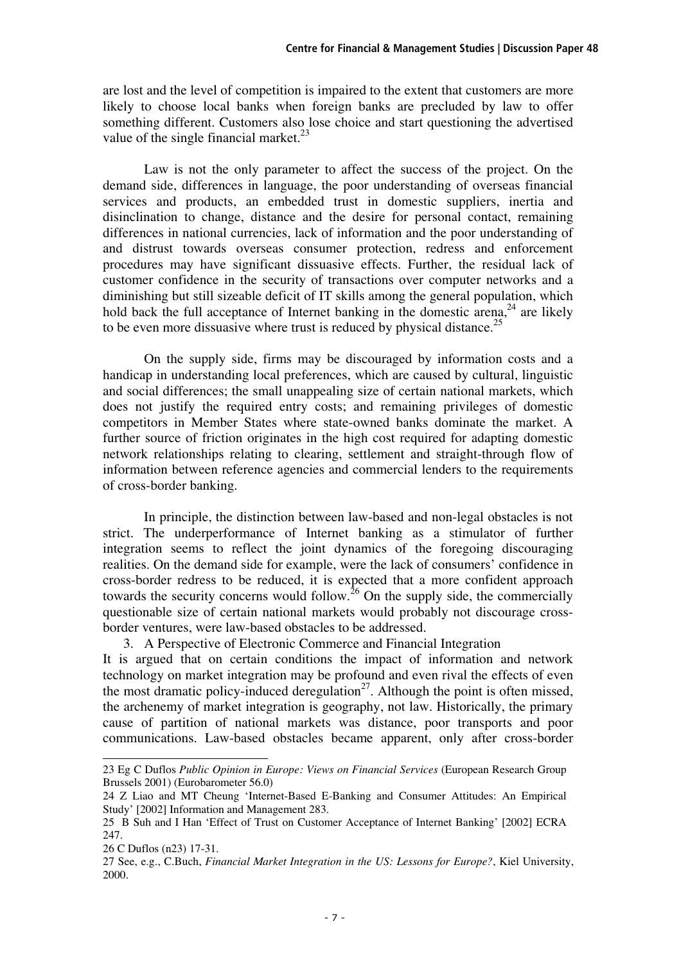are lost and the level of competition is impaired to the extent that customers are more likely to choose local banks when foreign banks are precluded by law to offer something different. Customers also lose choice and start questioning the advertised value of the single financial market. $^{23}$ 

Law is not the only parameter to affect the success of the project. On the demand side, differences in language, the poor understanding of overseas financial services and products, an embedded trust in domestic suppliers, inertia and disinclination to change, distance and the desire for personal contact, remaining differences in national currencies, lack of information and the poor understanding of and distrust towards overseas consumer protection, redress and enforcement procedures may have significant dissuasive effects. Further, the residual lack of customer confidence in the security of transactions over computer networks and a diminishing but still sizeable deficit of IT skills among the general population, which hold back the full acceptance of Internet banking in the domestic arena,  $24$  are likely to be even more dissuasive where trust is reduced by physical distance.<sup>25</sup>

On the supply side, firms may be discouraged by information costs and a handicap in understanding local preferences, which are caused by cultural, linguistic and social differences; the small unappealing size of certain national markets, which does not justify the required entry costs; and remaining privileges of domestic competitors in Member States where state-owned banks dominate the market. A further source of friction originates in the high cost required for adapting domestic network relationships relating to clearing, settlement and straight-through flow of information between reference agencies and commercial lenders to the requirements of cross-border banking.

In principle, the distinction between law-based and non-legal obstacles is not strict. The underperformance of Internet banking as a stimulator of further integration seems to reflect the joint dynamics of the foregoing discouraging realities. On the demand side for example, were the lack of consumers' confidence in cross-border redress to be reduced, it is expected that a more confident approach towards the security concerns would follow.<sup>26</sup> On the supply side, the commercially questionable size of certain national markets would probably not discourage crossborder ventures, were law-based obstacles to be addressed.

3. A Perspective of Electronic Commerce and Financial Integration

It is argued that on certain conditions the impact of information and network technology on market integration may be profound and even rival the effects of even the most dramatic policy-induced deregulation<sup>27</sup>. Although the point is often missed, the archenemy of market integration is geography, not law. Historically, the primary cause of partition of national markets was distance, poor transports and poor communications. Law-based obstacles became apparent, only after cross-border

<sup>23</sup> Eg C Duflos *Public Opinion in Europe: Views on Financial Services* (European Research Group Brussels 2001) (Eurobarometer 56.0)

<sup>24</sup> Z Liao and MT Cheung 'Internet-Based E-Banking and Consumer Attitudes: An Empirical Study' [2002] Information and Management 283.

<sup>25</sup> B Suh and I Han 'Effect of Trust on Customer Acceptance of Internet Banking' [2002] ECRA 247.

<sup>26</sup> C Duflos (n23) 17-31.

<sup>27</sup> See, e.g., C.Buch, *Financial Market Integration in the US: Lessons for Europe?*, Kiel University, 2000.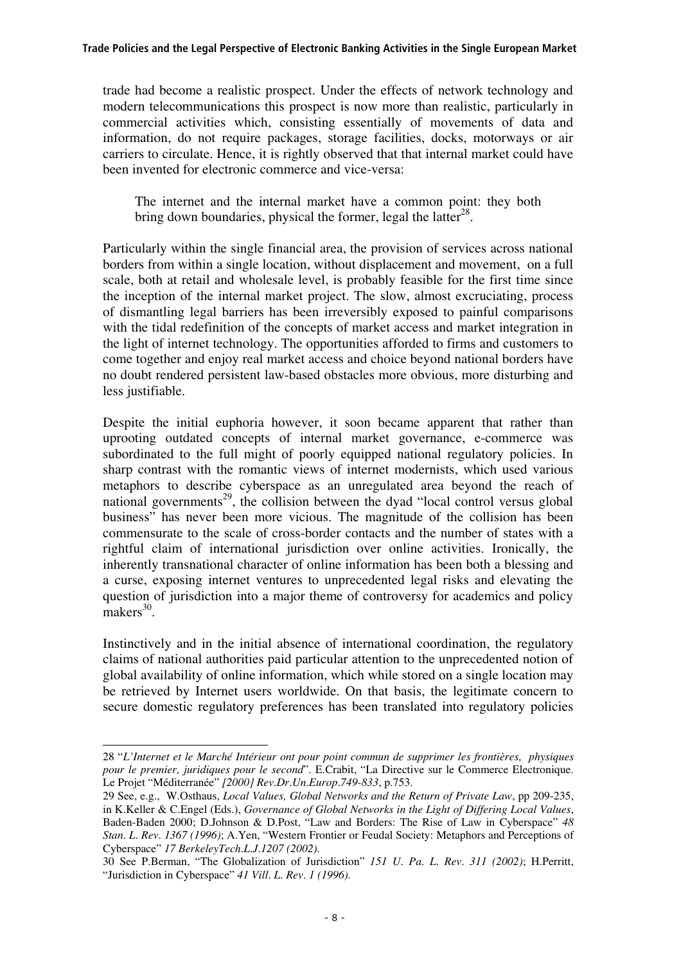trade had become a realistic prospect. Under the effects of network technology and modern telecommunications this prospect is now more than realistic, particularly in commercial activities which, consisting essentially of movements of data and information, do not require packages, storage facilities, docks, motorways or air carriers to circulate. Hence, it is rightly observed that that internal market could have been invented for electronic commerce and vice-versa:

The internet and the internal market have a common point: they both bring down boundaries, physical the former, legal the latter $^{28}$ .

Particularly within the single financial area, the provision of services across national borders from within a single location, without displacement and movement, on a full scale, both at retail and wholesale level, is probably feasible for the first time since the inception of the internal market project. The slow, almost excruciating, process of dismantling legal barriers has been irreversibly exposed to painful comparisons with the tidal redefinition of the concepts of market access and market integration in the light of internet technology. The opportunities afforded to firms and customers to come together and enjoy real market access and choice beyond national borders have no doubt rendered persistent law-based obstacles more obvious, more disturbing and less justifiable.

Despite the initial euphoria however, it soon became apparent that rather than uprooting outdated concepts of internal market governance, e-commerce was subordinated to the full might of poorly equipped national regulatory policies. In sharp contrast with the romantic views of internet modernists, which used various metaphors to describe cyberspace as an unregulated area beyond the reach of national governments<sup>29</sup>, the collision between the dyad "local control versus global business" has never been more vicious. The magnitude of the collision has been commensurate to the scale of cross-border contacts and the number of states with a rightful claim of international jurisdiction over online activities. Ironically, the inherently transnational character of online information has been both a blessing and a curse, exposing internet ventures to unprecedented legal risks and elevating the question of jurisdiction into a major theme of controversy for academics and policy  $makers<sup>30</sup>$ .

Instinctively and in the initial absence of international coordination, the regulatory claims of national authorities paid particular attention to the unprecedented notion of global availability of online information, which while stored on a single location may be retrieved by Internet users worldwide. On that basis, the legitimate concern to secure domestic regulatory preferences has been translated into regulatory policies

<sup>28 &</sup>quot;*L'Internet et le Marché Intérieur ont pour point commun de supprimer les frontières, physiques pour le premier, juridiques pour le second*". E.Crabit, "La Directive sur le Commerce Electronique. Le Projet "Méditerranée" *[2000] Rev.Dr.Un.Europ.749-833*, p.753.

<sup>29</sup> See, e.g., W.Osthaus, *Local Values, Global Networks and the Return of Private Law*, pp 209-235, in K.Keller & C.Engel (Eds.), *Governance of Global Networks in the Light of Differing Local Values*, Baden-Baden 2000; D.Johnson & D.Post, "Law and Borders: The Rise of Law in Cyberspace" *48 Stan. L. Rev. 1367 (1996)*; A.Yen, "Western Frontier or Feudal Society: Metaphors and Perceptions of Cyberspace" *17 BerkeleyTech.L.J.1207 (2002)*.

<sup>30</sup> See P.Berman, "The Globalization of Jurisdiction" *151 U. Pa. L. Rev. 311 (2002)*; H.Perritt, "Jurisdiction in Cyberspace" *41 Vill. L. Rev. 1 (1996)*.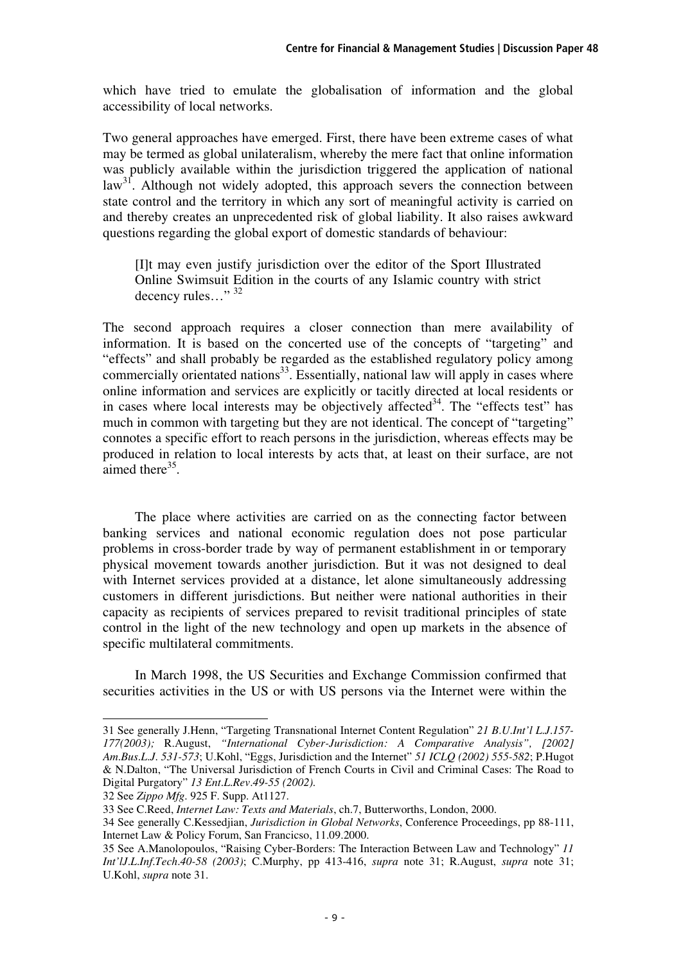which have tried to emulate the globalisation of information and the global accessibility of local networks.

Two general approaches have emerged. First, there have been extreme cases of what may be termed as global unilateralism, whereby the mere fact that online information was publicly available within the jurisdiction triggered the application of national  $law<sup>31</sup>$ . Although not widely adopted, this approach severs the connection between state control and the territory in which any sort of meaningful activity is carried on and thereby creates an unprecedented risk of global liability. It also raises awkward questions regarding the global export of domestic standards of behaviour:

[I]t may even justify jurisdiction over the editor of the Sport Illustrated Online Swimsuit Edition in the courts of any Islamic country with strict decency rules…"  $32$ 

The second approach requires a closer connection than mere availability of information. It is based on the concerted use of the concepts of "targeting" and "effects" and shall probably be regarded as the established regulatory policy among commercially orientated nations<sup>33</sup>. Essentially, national law will apply in cases where online information and services are explicitly or tacitly directed at local residents or in cases where local interests may be objectively affected  $34$ . The "effects test" has much in common with targeting but they are not identical. The concept of "targeting" connotes a specific effort to reach persons in the jurisdiction, whereas effects may be produced in relation to local interests by acts that, at least on their surface, are not aimed there $^{35}$ .

The place where activities are carried on as the connecting factor between banking services and national economic regulation does not pose particular problems in cross-border trade by way of permanent establishment in or temporary physical movement towards another jurisdiction. But it was not designed to deal with Internet services provided at a distance, let alone simultaneously addressing customers in different jurisdictions. But neither were national authorities in their capacity as recipients of services prepared to revisit traditional principles of state control in the light of the new technology and open up markets in the absence of specific multilateral commitments.

In March 1998, the US Securities and Exchange Commission confirmed that securities activities in the US or with US persons via the Internet were within the

<sup>31</sup> See generally J.Henn, "Targeting Transnational Internet Content Regulation" *21 B.U.Int'l L.J.157- 177(2003);* R.August, *"International Cyber-Jurisdiction: A Comparative Analysis", [2002] Am.Bus.L.J. 531-573*; U.Kohl, "Eggs, Jurisdiction and the Internet" *51 ICLQ (2002) 555-582*; P.Hugot & N.Dalton, "The Universal Jurisdiction of French Courts in Civil and Criminal Cases: The Road to Digital Purgatory" *13 Ent.L.Rev.49-55 (2002)*.

<sup>32</sup> See *Zippo Mfg*. 925 F. Supp. At1127.

<sup>33</sup> See C.Reed, *Internet Law: Texts and Materials*, ch.7, Butterworths, London, 2000.

<sup>34</sup> See generally C.Kessedjian, *Jurisdiction in Global Networks*, Conference Proceedings, pp 88-111, Internet Law & Policy Forum, San Francicso, 11.09.2000.

<sup>35</sup> See A.Manolopoulos, "Raising Cyber-Borders: The Interaction Between Law and Technology" *11 Int'lJ.L.Inf.Tech.40-58 (2003)*; C.Murphy, pp 413-416, *supra* note 31; R.August, *supra* note 31; U.Kohl, *supra* note 31.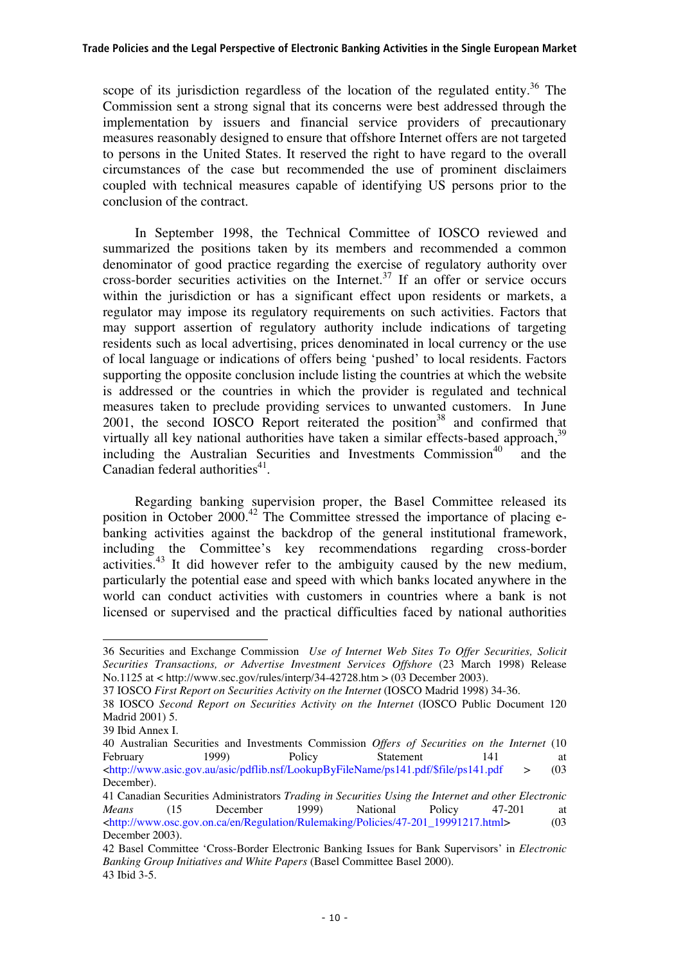scope of its jurisdiction regardless of the location of the regulated entity.<sup>36</sup> The Commission sent a strong signal that its concerns were best addressed through the implementation by issuers and financial service providers of precautionary measures reasonably designed to ensure that offshore Internet offers are not targeted to persons in the United States. It reserved the right to have regard to the overall circumstances of the case but recommended the use of prominent disclaimers coupled with technical measures capable of identifying US persons prior to the conclusion of the contract.

In September 1998, the Technical Committee of IOSCO reviewed and summarized the positions taken by its members and recommended a common denominator of good practice regarding the exercise of regulatory authority over cross-border securities activities on the Internet.<sup>37</sup> If an offer or service occurs within the jurisdiction or has a significant effect upon residents or markets, a regulator may impose its regulatory requirements on such activities. Factors that may support assertion of regulatory authority include indications of targeting residents such as local advertising, prices denominated in local currency or the use of local language or indications of offers being 'pushed' to local residents. Factors supporting the opposite conclusion include listing the countries at which the website is addressed or the countries in which the provider is regulated and technical measures taken to preclude providing services to unwanted customers. In June  $2001$ , the second  $IOSCO$  Report reiterated the position<sup>38</sup> and confirmed that virtually all key national authorities have taken a similar effects-based approach,<sup>39</sup> including the Australian Securities and Investments Commission<sup>40</sup> and the Canadian federal authorities $41$ .

Regarding banking supervision proper, the Basel Committee released its position in October 2000.<sup>42</sup> The Committee stressed the importance of placing ebanking activities against the backdrop of the general institutional framework, including the Committee's key recommendations regarding cross-border activities.43 It did however refer to the ambiguity caused by the new medium, particularly the potential ease and speed with which banks located anywhere in the world can conduct activities with customers in countries where a bank is not licensed or supervised and the practical difficulties faced by national authorities

<sup>36</sup> Securities and Exchange Commission *Use of Internet Web Sites To Offer Securities, Solicit Securities Transactions, or Advertise Investment Services Offshore* (23 March 1998) Release No.1125 at < http://www.sec.gov/rules/interp/34-42728.htm > (03 December 2003).

<sup>37</sup> IOSCO *First Report on Securities Activity on the Internet* (IOSCO Madrid 1998) 34-36.

<sup>38</sup> IOSCO *Second Report on Securities Activity on the Internet* (IOSCO Public Document 120 Madrid 2001) 5.

<sup>39</sup> Ibid Annex I.

<sup>40</sup> Australian Securities and Investments Commission *Offers of Securities on the Internet* (10 February 1999) Policy Statement 141 at <http://www.asic.gov.au/asic/pdflib.nsf/LookupByFileName/ps141.pdf/\$file/ps141.pdf > (03 December).

<sup>41</sup> Canadian Securities Administrators *Trading in Securities Using the Internet and other Electronic Means* (15 December 1999) National Policy 47-201 at  $\langle$ http://www.osc.gov.on.ca/en/Regulation/Rulemaking/Policies/47-201\_19991217.html> (03) December 2003).

<sup>42</sup> Basel Committee 'Cross-Border Electronic Banking Issues for Bank Supervisors' in *Electronic Banking Group Initiatives and White Papers* (Basel Committee Basel 2000). 43 Ibid 3-5.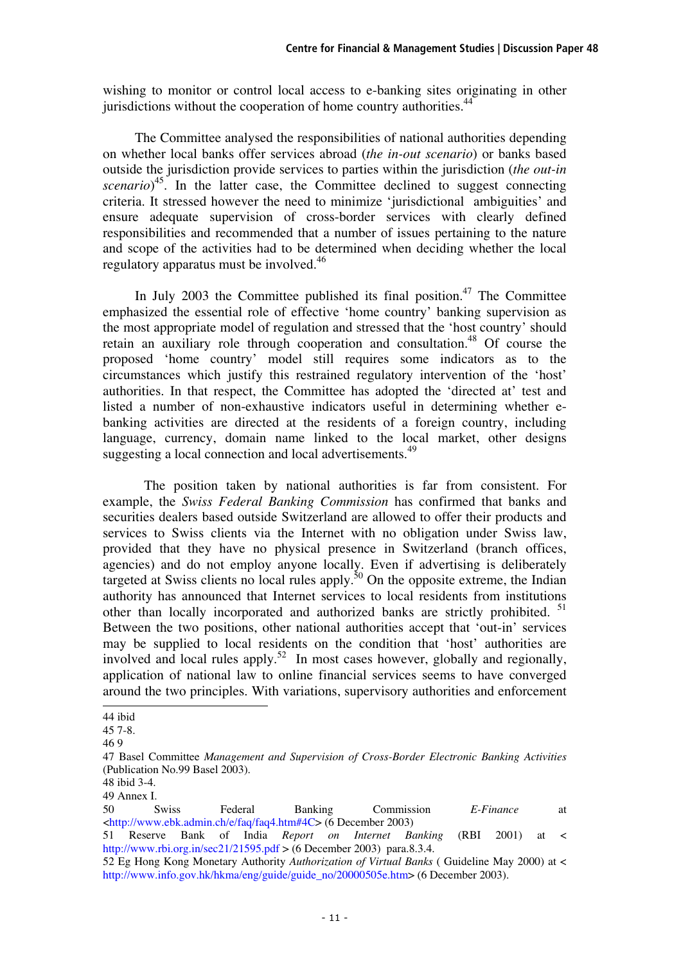wishing to monitor or control local access to e-banking sites originating in other jurisdictions without the cooperation of home country authorities.<sup>44</sup>

The Committee analysed the responsibilities of national authorities depending on whether local banks offer services abroad (*the in-out scenario*) or banks based outside the jurisdiction provide services to parties within the jurisdiction (*the out-in*  scenario)<sup>45</sup>. In the latter case, the Committee declined to suggest connecting criteria. It stressed however the need to minimize 'jurisdictional ambiguities' and ensure adequate supervision of cross-border services with clearly defined responsibilities and recommended that a number of issues pertaining to the nature and scope of the activities had to be determined when deciding whether the local regulatory apparatus must be involved.<sup>46</sup>

In July 2003 the Committee published its final position.<sup>47</sup> The Committee emphasized the essential role of effective 'home country' banking supervision as the most appropriate model of regulation and stressed that the 'host country' should retain an auxiliary role through cooperation and consultation.<sup>48</sup> Of course the proposed 'home country' model still requires some indicators as to the circumstances which justify this restrained regulatory intervention of the 'host' authorities. In that respect, the Committee has adopted the 'directed at' test and listed a number of non-exhaustive indicators useful in determining whether ebanking activities are directed at the residents of a foreign country, including language, currency, domain name linked to the local market, other designs suggesting a local connection and local advertisements.<sup>49</sup>

The position taken by national authorities is far from consistent. For example, the *Swiss Federal Banking Commission* has confirmed that banks and securities dealers based outside Switzerland are allowed to offer their products and services to Swiss clients via the Internet with no obligation under Swiss law, provided that they have no physical presence in Switzerland (branch offices, agencies) and do not employ anyone locally. Even if advertising is deliberately targeted at Swiss clients no local rules apply.<sup>50</sup> On the opposite extreme, the Indian authority has announced that Internet services to local residents from institutions other than locally incorporated and authorized banks are strictly prohibited. <sup>51</sup> Between the two positions, other national authorities accept that 'out-in' services may be supplied to local residents on the condition that 'host' authorities are involved and local rules apply.<sup>52</sup> In most cases however, globally and regionally, application of national law to online financial services seems to have converged around the two principles. With variations, supervisory authorities and enforcement

<sup>44</sup> ibid

<sup>45 7-8.</sup>

<sup>46 9</sup> 

<sup>47</sup> Basel Committee *Management and Supervision of Cross-Border Electronic Banking Activities*  (Publication No.99 Basel 2003).

<sup>48</sup> ibid 3-4.

<sup>49</sup> Annex I.

<sup>50</sup> Swiss Federal Banking Commission *E-Finance* at <http://www.ebk.admin.ch/e/faq/faq4.htm#4C> (6 December 2003)

<sup>51</sup> Reserve Bank of India *Report on Internet Banking* (RBI 2001) at < http://www.rbi.org.in/sec21/21595.pdf  $>(6$  December 2003) para.8.3.4.

<sup>52</sup> Eg Hong Kong Monetary Authority *Authorization of Virtual Banks* ( Guideline May 2000) at < http://www.info.gov.hk/hkma/eng/guide/guide\_no/20000505e.htm> (6 December 2003).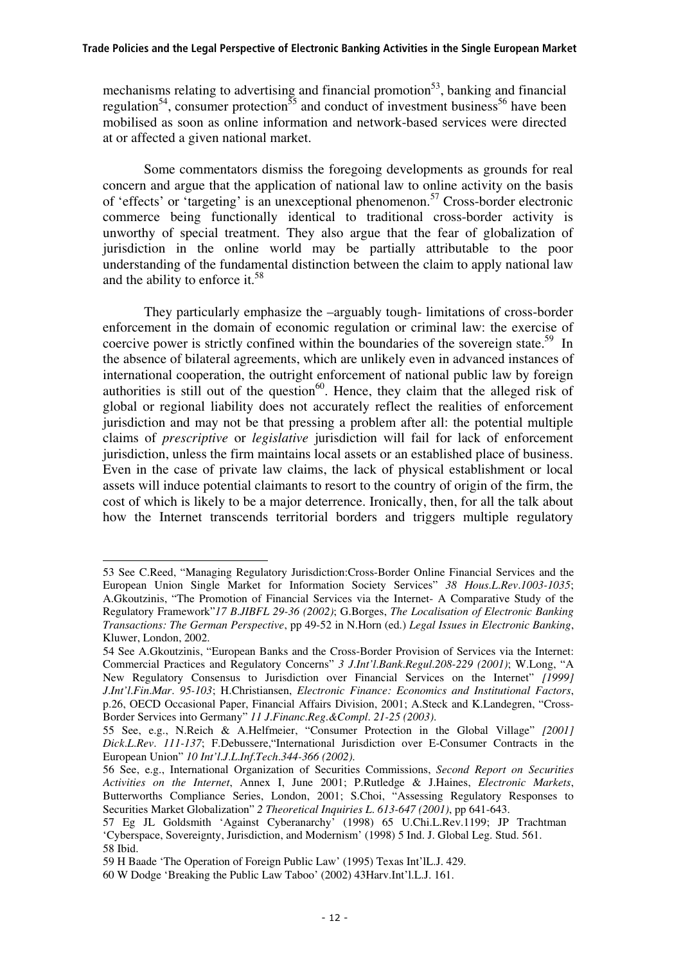mechanisms relating to advertising and financial promotion<sup>53</sup>, banking and financial regulation<sup>54</sup>, consumer protection<sup>55</sup> and conduct of investment business<sup>56</sup> have been mobilised as soon as online information and network-based services were directed at or affected a given national market.

Some commentators dismiss the foregoing developments as grounds for real concern and argue that the application of national law to online activity on the basis of 'effects' or 'targeting' is an unexceptional phenomenon.<sup>57</sup> Cross-border electronic commerce being functionally identical to traditional cross-border activity is unworthy of special treatment. They also argue that the fear of globalization of jurisdiction in the online world may be partially attributable to the poor understanding of the fundamental distinction between the claim to apply national law and the ability to enforce it.<sup>58</sup>

They particularly emphasize the –arguably tough- limitations of cross-border enforcement in the domain of economic regulation or criminal law: the exercise of coercive power is strictly confined within the boundaries of the sovereign state.<sup>59</sup> In the absence of bilateral agreements, which are unlikely even in advanced instances of international cooperation, the outright enforcement of national public law by foreign authorities is still out of the question $60$ . Hence, they claim that the alleged risk of global or regional liability does not accurately reflect the realities of enforcement jurisdiction and may not be that pressing a problem after all: the potential multiple claims of *prescriptive* or *legislative* jurisdiction will fail for lack of enforcement jurisdiction, unless the firm maintains local assets or an established place of business. Even in the case of private law claims, the lack of physical establishment or local assets will induce potential claimants to resort to the country of origin of the firm, the cost of which is likely to be a major deterrence. Ironically, then, for all the talk about how the Internet transcends territorial borders and triggers multiple regulatory

<sup>53</sup> See C.Reed, "Managing Regulatory Jurisdiction:Cross-Border Online Financial Services and the European Union Single Market for Information Society Services" *38 Hous.L.Rev.1003-1035*; A.Gkoutzinis, "The Promotion of Financial Services via the Internet- A Comparative Study of the Regulatory Framework"*17 B.JIBFL 29-36 (2002)*; G.Borges, *The Localisation of Electronic Banking Transactions: The German Perspective*, pp 49-52 in N.Horn (ed.) *Legal Issues in Electronic Banking*, Kluwer, London, 2002.

<sup>54</sup> See A.Gkoutzinis, "European Banks and the Cross-Border Provision of Services via the Internet: Commercial Practices and Regulatory Concerns" *3 J.Int'l.Bank.Regul.208-229 (2001)*; W.Long, "A New Regulatory Consensus to Jurisdiction over Financial Services on the Internet" *[1999] J.Int'l.Fin.Mar. 95-103*; H.Christiansen, *Electronic Finance: Economics and Institutional Factors*, p.26, OECD Occasional Paper, Financial Affairs Division, 2001; A.Steck and K.Landegren, "Cross-Border Services into Germany" *11 J.Financ.Reg.&Compl. 21-25 (2003)*.

<sup>55</sup> See, e.g., N.Reich & A.Helfmeier, "Consumer Protection in the Global Village" *[2001] Dick.L.Rev. 111-137*; F.Debussere,"International Jurisdiction over E-Consumer Contracts in the European Union" *10 Int'l.J.L.Inf.Tech.344-366 (2002)*.

<sup>56</sup> See, e.g., International Organization of Securities Commissions, *Second Report on Securities Activities on the Internet*, Annex I, June 2001; P.Rutledge & J.Haines, *Electronic Markets*, Butterworths Compliance Series, London, 2001; S.Choi, "Assessing Regulatory Responses to Securities Market Globalization" *2 Theoretical Inquiries L. 613-647 (2001)*, pp 641-643.

<sup>57</sup> Eg JL Goldsmith 'Against Cyberanarchy' (1998) 65 U.Chi.L.Rev.1199; JP Trachtman 'Cyberspace, Sovereignty, Jurisdiction, and Modernism' (1998) 5 Ind. J. Global Leg. Stud. 561. 58 Ibid.

<sup>59</sup> H Baade 'The Operation of Foreign Public Law' (1995) Texas Int'lL.J. 429.

<sup>60</sup> W Dodge 'Breaking the Public Law Taboo' (2002) 43Harv.Int'l.L.J. 161.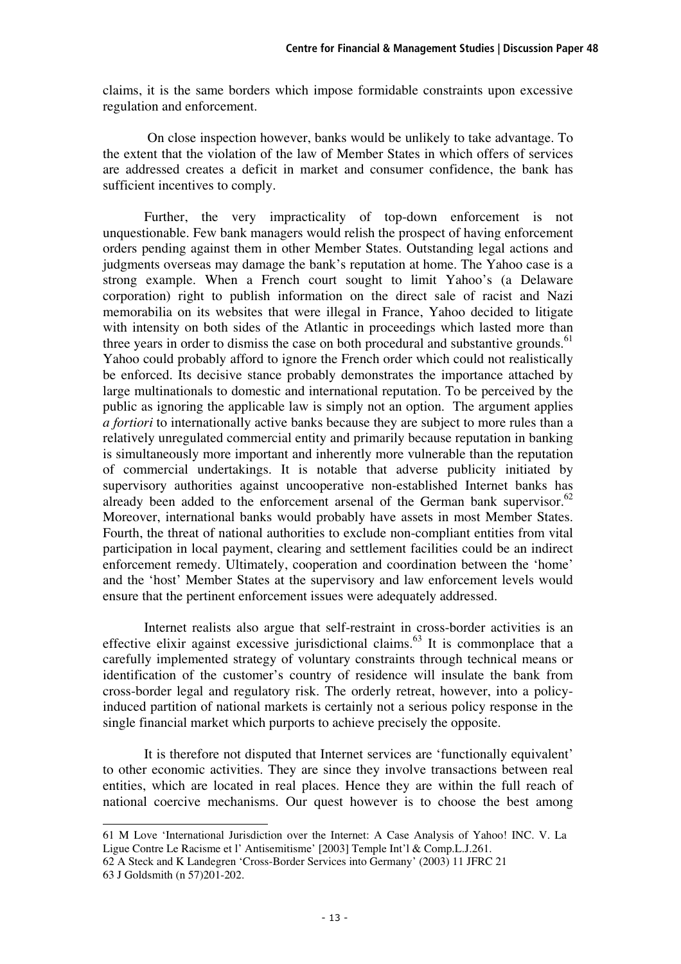claims, it is the same borders which impose formidable constraints upon excessive regulation and enforcement.

On close inspection however, banks would be unlikely to take advantage. To the extent that the violation of the law of Member States in which offers of services are addressed creates a deficit in market and consumer confidence, the bank has sufficient incentives to comply.

Further, the very impracticality of top-down enforcement is not unquestionable. Few bank managers would relish the prospect of having enforcement orders pending against them in other Member States. Outstanding legal actions and judgments overseas may damage the bank's reputation at home. The Yahoo case is a strong example. When a French court sought to limit Yahoo's (a Delaware corporation) right to publish information on the direct sale of racist and Nazi memorabilia on its websites that were illegal in France, Yahoo decided to litigate with intensity on both sides of the Atlantic in proceedings which lasted more than three years in order to dismiss the case on both procedural and substantive grounds.  $61$ Yahoo could probably afford to ignore the French order which could not realistically be enforced. Its decisive stance probably demonstrates the importance attached by large multinationals to domestic and international reputation. To be perceived by the public as ignoring the applicable law is simply not an option. The argument applies *a fortiori* to internationally active banks because they are subject to more rules than a relatively unregulated commercial entity and primarily because reputation in banking is simultaneously more important and inherently more vulnerable than the reputation of commercial undertakings. It is notable that adverse publicity initiated by supervisory authorities against uncooperative non-established Internet banks has already been added to the enforcement arsenal of the German bank supervisor.<sup>62</sup> Moreover, international banks would probably have assets in most Member States. Fourth, the threat of national authorities to exclude non-compliant entities from vital participation in local payment, clearing and settlement facilities could be an indirect enforcement remedy. Ultimately, cooperation and coordination between the 'home' and the 'host' Member States at the supervisory and law enforcement levels would ensure that the pertinent enforcement issues were adequately addressed.

Internet realists also argue that self-restraint in cross-border activities is an effective elixir against excessive jurisdictional claims.<sup>63</sup> It is commonplace that a carefully implemented strategy of voluntary constraints through technical means or identification of the customer's country of residence will insulate the bank from cross-border legal and regulatory risk. The orderly retreat, however, into a policyinduced partition of national markets is certainly not a serious policy response in the single financial market which purports to achieve precisely the opposite.

It is therefore not disputed that Internet services are 'functionally equivalent' to other economic activities. They are since they involve transactions between real entities, which are located in real places. Hence they are within the full reach of national coercive mechanisms. Our quest however is to choose the best among

<sup>61</sup> M Love 'International Jurisdiction over the Internet: A Case Analysis of Yahoo! INC. V. La Ligue Contre Le Racisme et l' Antisemitisme' [2003] Temple Int'l & Comp.L.J.261.

<sup>62</sup> A Steck and K Landegren 'Cross-Border Services into Germany' (2003) 11 JFRC 21 63 J Goldsmith (n 57)201-202.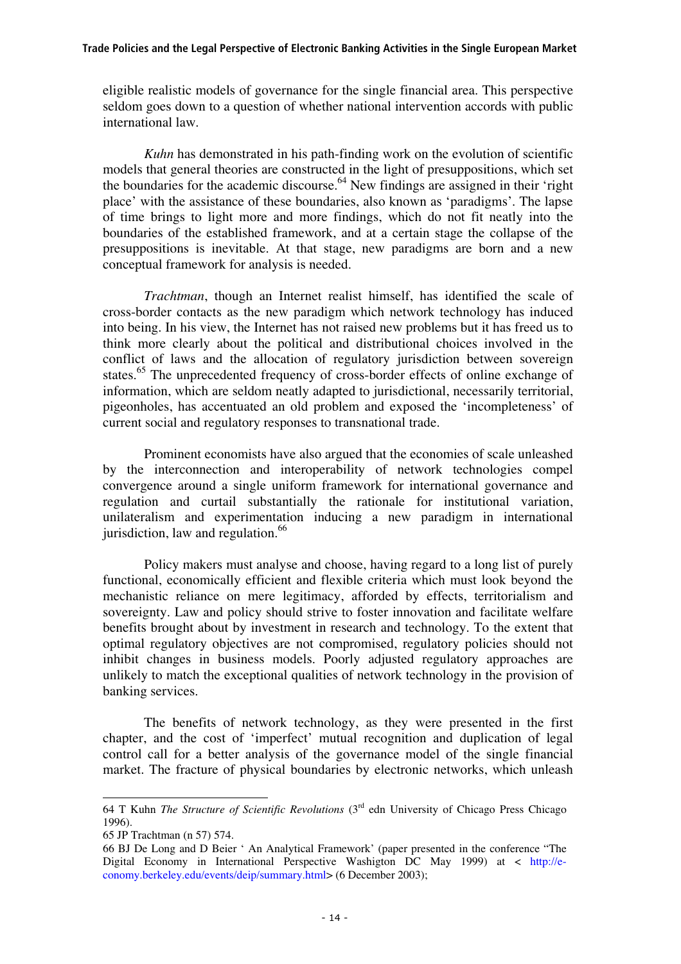eligible realistic models of governance for the single financial area. This perspective seldom goes down to a question of whether national intervention accords with public international law.

*Kuhn* has demonstrated in his path-finding work on the evolution of scientific models that general theories are constructed in the light of presuppositions, which set the boundaries for the academic discourse.<sup>64</sup> New findings are assigned in their 'right place' with the assistance of these boundaries, also known as 'paradigms'. The lapse of time brings to light more and more findings, which do not fit neatly into the boundaries of the established framework, and at a certain stage the collapse of the presuppositions is inevitable. At that stage, new paradigms are born and a new conceptual framework for analysis is needed.

*Trachtman*, though an Internet realist himself, has identified the scale of cross-border contacts as the new paradigm which network technology has induced into being. In his view, the Internet has not raised new problems but it has freed us to think more clearly about the political and distributional choices involved in the conflict of laws and the allocation of regulatory jurisdiction between sovereign states.<sup>65</sup> The unprecedented frequency of cross-border effects of online exchange of information, which are seldom neatly adapted to jurisdictional, necessarily territorial, pigeonholes, has accentuated an old problem and exposed the 'incompleteness' of current social and regulatory responses to transnational trade.

Prominent economists have also argued that the economies of scale unleashed by the interconnection and interoperability of network technologies compel convergence around a single uniform framework for international governance and regulation and curtail substantially the rationale for institutional variation, unilateralism and experimentation inducing a new paradigm in international jurisdiction, law and regulation. $66$ 

Policy makers must analyse and choose, having regard to a long list of purely functional, economically efficient and flexible criteria which must look beyond the mechanistic reliance on mere legitimacy, afforded by effects, territorialism and sovereignty. Law and policy should strive to foster innovation and facilitate welfare benefits brought about by investment in research and technology. To the extent that optimal regulatory objectives are not compromised, regulatory policies should not inhibit changes in business models. Poorly adjusted regulatory approaches are unlikely to match the exceptional qualities of network technology in the provision of banking services.

The benefits of network technology, as they were presented in the first chapter, and the cost of 'imperfect' mutual recognition and duplication of legal control call for a better analysis of the governance model of the single financial market. The fracture of physical boundaries by electronic networks, which unleash

<sup>64</sup> T Kuhn *The Structure of Scientific Revolutions* (3rd edn University of Chicago Press Chicago 1996).

<sup>65</sup> JP Trachtman (n 57) 574.

<sup>66</sup> BJ De Long and D Beier ' An Analytical Framework' (paper presented in the conference "The Digital Economy in International Perspective Washigton DC May 1999) at < http://economy.berkeley.edu/events/deip/summary.html> (6 December 2003);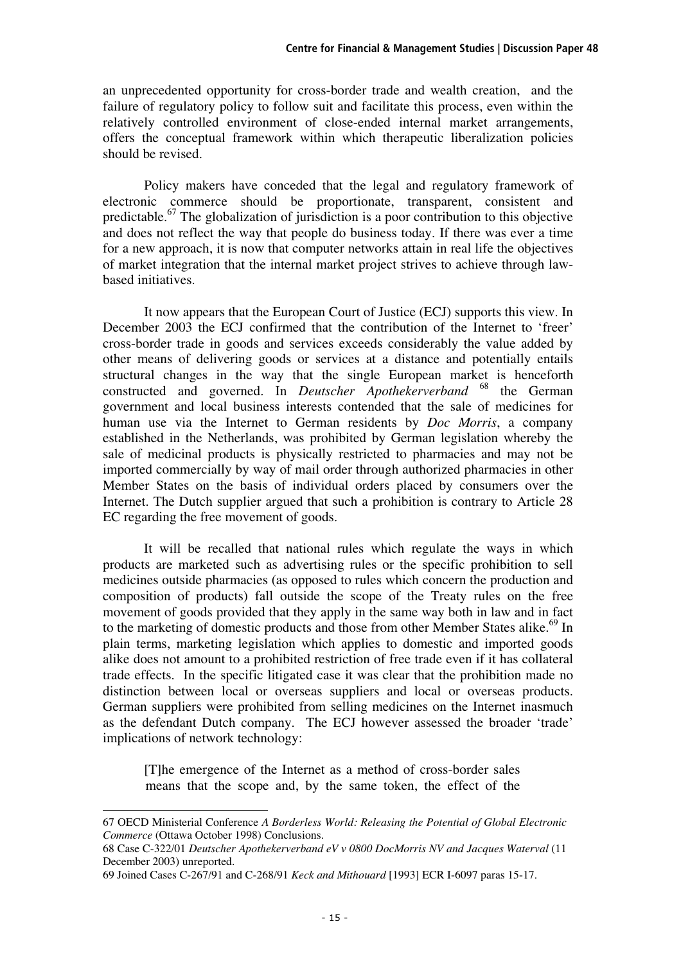an unprecedented opportunity for cross-border trade and wealth creation, and the failure of regulatory policy to follow suit and facilitate this process, even within the relatively controlled environment of close-ended internal market arrangements, offers the conceptual framework within which therapeutic liberalization policies should be revised.

Policy makers have conceded that the legal and regulatory framework of electronic commerce should be proportionate, transparent, consistent and predictable.<sup>67</sup> The globalization of jurisdiction is a poor contribution to this objective and does not reflect the way that people do business today. If there was ever a time for a new approach, it is now that computer networks attain in real life the objectives of market integration that the internal market project strives to achieve through lawbased initiatives.

It now appears that the European Court of Justice (ECJ) supports this view. In December 2003 the ECJ confirmed that the contribution of the Internet to 'freer' cross-border trade in goods and services exceeds considerably the value added by other means of delivering goods or services at a distance and potentially entails structural changes in the way that the single European market is henceforth constructed and governed. In *Deutscher Apothekerverband* <sup>68</sup> the German government and local business interests contended that the sale of medicines for human use via the Internet to German residents by *Doc Morris*, a company established in the Netherlands, was prohibited by German legislation whereby the sale of medicinal products is physically restricted to pharmacies and may not be imported commercially by way of mail order through authorized pharmacies in other Member States on the basis of individual orders placed by consumers over the Internet. The Dutch supplier argued that such a prohibition is contrary to Article 28 EC regarding the free movement of goods.

It will be recalled that national rules which regulate the ways in which products are marketed such as advertising rules or the specific prohibition to sell medicines outside pharmacies (as opposed to rules which concern the production and composition of products) fall outside the scope of the Treaty rules on the free movement of goods provided that they apply in the same way both in law and in fact to the marketing of domestic products and those from other Member States alike.<sup>69</sup> In plain terms, marketing legislation which applies to domestic and imported goods alike does not amount to a prohibited restriction of free trade even if it has collateral trade effects. In the specific litigated case it was clear that the prohibition made no distinction between local or overseas suppliers and local or overseas products. German suppliers were prohibited from selling medicines on the Internet inasmuch as the defendant Dutch company. The ECJ however assessed the broader 'trade' implications of network technology:

[T]he emergence of the Internet as a method of cross-border sales means that the scope and, by the same token, the effect of the

<sup>67</sup> OECD Ministerial Conference *A Borderless World: Releasing the Potential of Global Electronic Commerce* (Ottawa October 1998) Conclusions.

<sup>68</sup> Case C-322/01 *Deutscher Apothekerverband eV v 0800 DocMorris NV and Jacques Waterval* (11 December 2003) unreported.

<sup>69</sup> Joined Cases C-267/91 and C-268/91 *Keck and Mithouard* [1993] ECR I-6097 paras 15-17.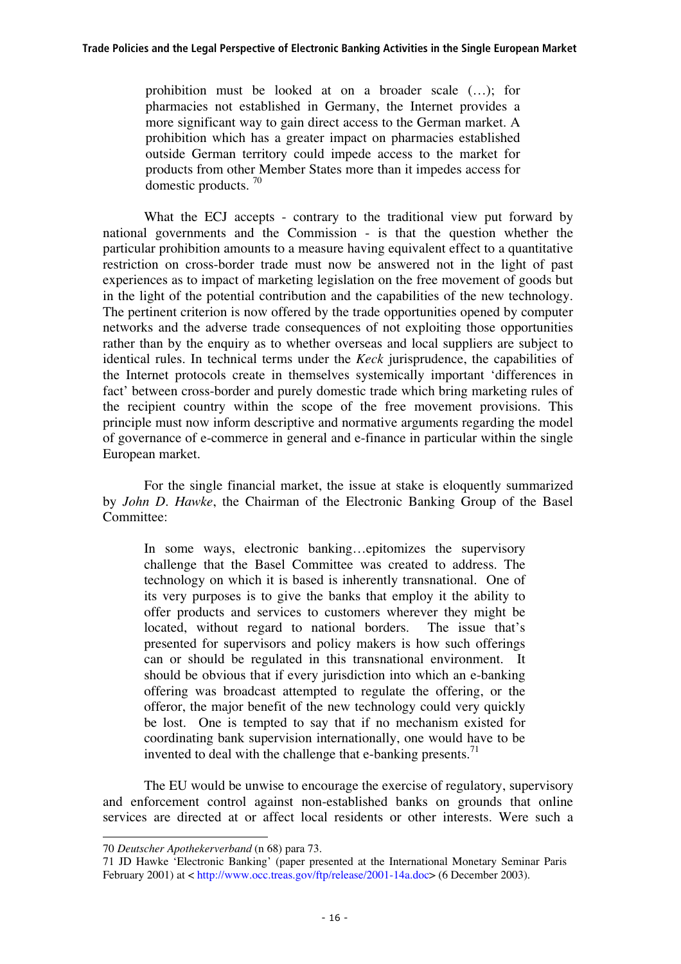prohibition must be looked at on a broader scale (…); for pharmacies not established in Germany, the Internet provides a more significant way to gain direct access to the German market. A prohibition which has a greater impact on pharmacies established outside German territory could impede access to the market for products from other Member States more than it impedes access for domestic products. 70

What the ECJ accepts - contrary to the traditional view put forward by national governments and the Commission - is that the question whether the particular prohibition amounts to a measure having equivalent effect to a quantitative restriction on cross-border trade must now be answered not in the light of past experiences as to impact of marketing legislation on the free movement of goods but in the light of the potential contribution and the capabilities of the new technology. The pertinent criterion is now offered by the trade opportunities opened by computer networks and the adverse trade consequences of not exploiting those opportunities rather than by the enquiry as to whether overseas and local suppliers are subject to identical rules. In technical terms under the *Keck* jurisprudence, the capabilities of the Internet protocols create in themselves systemically important 'differences in fact' between cross-border and purely domestic trade which bring marketing rules of the recipient country within the scope of the free movement provisions. This principle must now inform descriptive and normative arguments regarding the model of governance of e-commerce in general and e-finance in particular within the single European market.

For the single financial market, the issue at stake is eloquently summarized by *John D. Hawke*, the Chairman of the Electronic Banking Group of the Basel Committee:

In some ways, electronic banking…epitomizes the supervisory challenge that the Basel Committee was created to address. The technology on which it is based is inherently transnational. One of its very purposes is to give the banks that employ it the ability to offer products and services to customers wherever they might be located, without regard to national borders. The issue that's presented for supervisors and policy makers is how such offerings can or should be regulated in this transnational environment. It should be obvious that if every jurisdiction into which an e-banking offering was broadcast attempted to regulate the offering, or the offeror, the major benefit of the new technology could very quickly be lost. One is tempted to say that if no mechanism existed for coordinating bank supervision internationally, one would have to be invented to deal with the challenge that e-banking presents.<sup>71</sup>

The EU would be unwise to encourage the exercise of regulatory, supervisory and enforcement control against non-established banks on grounds that online services are directed at or affect local residents or other interests. Were such a

<sup>70</sup> *Deutscher Apothekerverband* (n 68) para 73.

<sup>71</sup> JD Hawke 'Electronic Banking' (paper presented at the International Monetary Seminar Paris February 2001) at < http://www.occ.treas.gov/ftp/release/2001-14a.doc> (6 December 2003).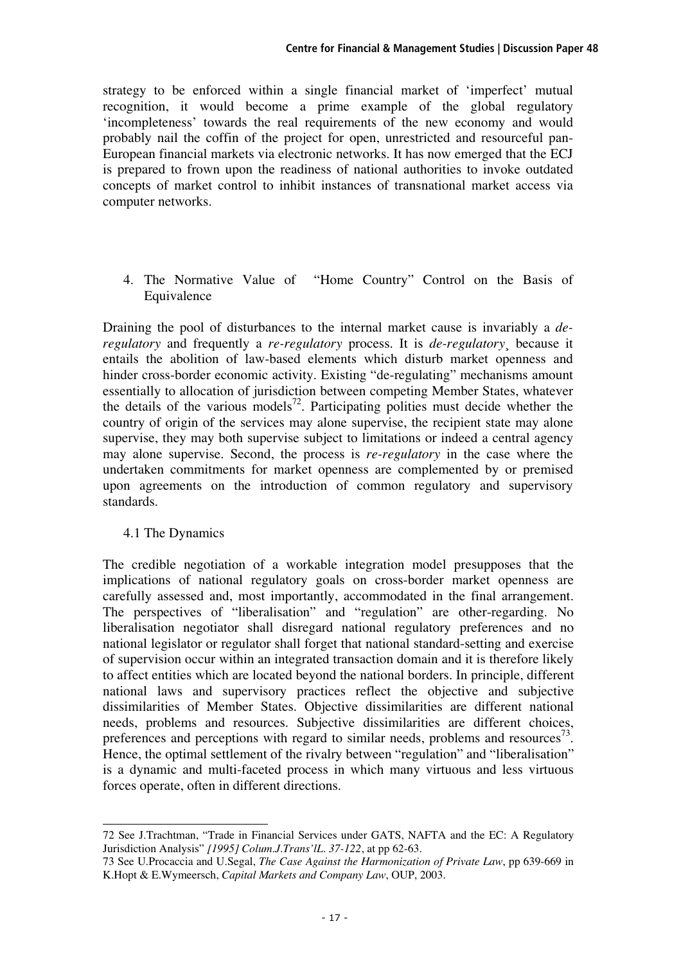strategy to be enforced within a single financial market of 'imperfect' mutual recognition, it would become a prime example of the global regulatory 'incompleteness' towards the real requirements of the new economy and would probably nail the coffin of the project for open, unrestricted and resourceful pan-European financial markets via electronic networks. It has now emerged that the ECJ is prepared to frown upon the readiness of national authorities to invoke outdated concepts of market control to inhibit instances of transnational market access via computer networks.

4. The Normative Value of "Home Country" Control on the Basis of Equivalence

Draining the pool of disturbances to the internal market cause is invariably a *deregulatory* and frequently a *re-regulatory* process. It is *de-regulatory*¸ because it entails the abolition of law-based elements which disturb market openness and hinder cross-border economic activity. Existing "de-regulating" mechanisms amount essentially to allocation of jurisdiction between competing Member States, whatever the details of the various models<sup>72</sup>. Participating polities must decide whether the country of origin of the services may alone supervise, the recipient state may alone supervise, they may both supervise subject to limitations or indeed a central agency may alone supervise. Second, the process is *re-regulatory* in the case where the undertaken commitments for market openness are complemented by or premised upon agreements on the introduction of common regulatory and supervisory standards.

### 4.1 The Dynamics

The credible negotiation of a workable integration model presupposes that the implications of national regulatory goals on cross-border market openness are carefully assessed and, most importantly, accommodated in the final arrangement. The perspectives of "liberalisation" and "regulation" are other-regarding. No liberalisation negotiator shall disregard national regulatory preferences and no national legislator or regulator shall forget that national standard-setting and exercise of supervision occur within an integrated transaction domain and it is therefore likely to affect entities which are located beyond the national borders. In principle, different national laws and supervisory practices reflect the objective and subjective dissimilarities of Member States. Objective dissimilarities are different national needs, problems and resources. Subjective dissimilarities are different choices, preferences and perceptions with regard to similar needs, problems and resources<sup>73</sup>. Hence, the optimal settlement of the rivalry between "regulation" and "liberalisation" is a dynamic and multi-faceted process in which many virtuous and less virtuous forces operate, often in different directions.

<sup>72</sup> See J.Trachtman, "Trade in Financial Services under GATS, NAFTA and the EC: A Regulatory Jurisdiction Analysis" *[1995] Colum.J.Trans'lL. 37-122*, at pp 62-63.

<sup>73</sup> See U.Procaccia and U.Segal, *The Case Against the Harmonization of Private Law*, pp 639-669 in K.Hopt & E.Wymeersch, *Capital Markets and Company Law*, OUP, 2003.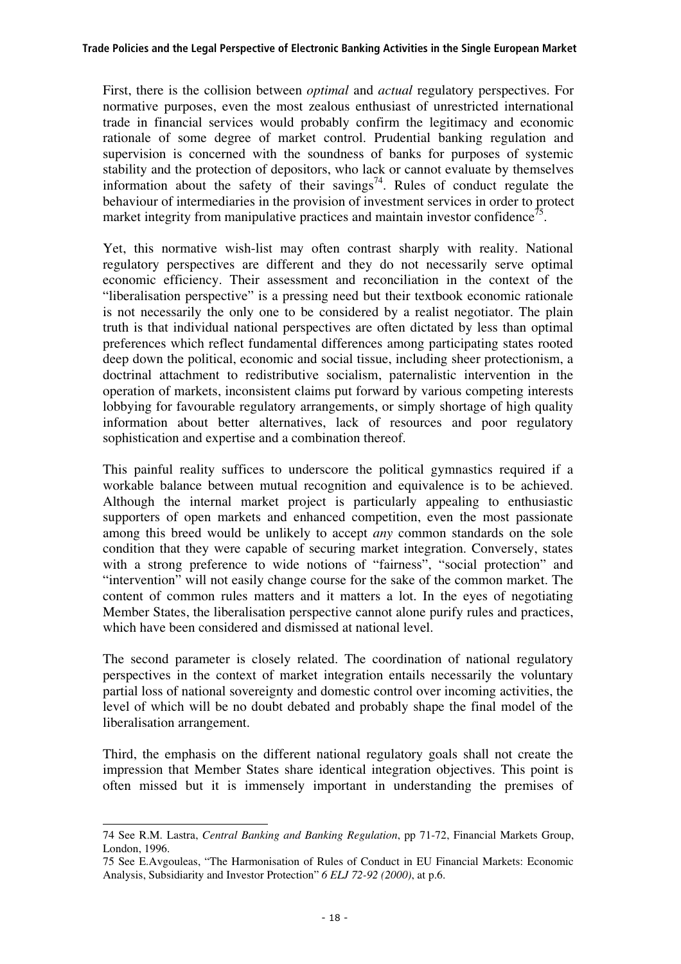First, there is the collision between *optimal* and *actual* regulatory perspectives. For normative purposes, even the most zealous enthusiast of unrestricted international trade in financial services would probably confirm the legitimacy and economic rationale of some degree of market control. Prudential banking regulation and supervision is concerned with the soundness of banks for purposes of systemic stability and the protection of depositors, who lack or cannot evaluate by themselves information about the safety of their savings<sup>74</sup>. Rules of conduct regulate the behaviour of intermediaries in the provision of investment services in order to protect market integrity from manipulative practices and maintain investor confidence<sup>75</sup>.

Yet, this normative wish-list may often contrast sharply with reality. National regulatory perspectives are different and they do not necessarily serve optimal economic efficiency. Their assessment and reconciliation in the context of the "liberalisation perspective" is a pressing need but their textbook economic rationale is not necessarily the only one to be considered by a realist negotiator. The plain truth is that individual national perspectives are often dictated by less than optimal preferences which reflect fundamental differences among participating states rooted deep down the political, economic and social tissue, including sheer protectionism, a doctrinal attachment to redistributive socialism, paternalistic intervention in the operation of markets, inconsistent claims put forward by various competing interests lobbying for favourable regulatory arrangements, or simply shortage of high quality information about better alternatives, lack of resources and poor regulatory sophistication and expertise and a combination thereof.

This painful reality suffices to underscore the political gymnastics required if a workable balance between mutual recognition and equivalence is to be achieved. Although the internal market project is particularly appealing to enthusiastic supporters of open markets and enhanced competition, even the most passionate among this breed would be unlikely to accept *any* common standards on the sole condition that they were capable of securing market integration. Conversely, states with a strong preference to wide notions of "fairness", "social protection" and "intervention" will not easily change course for the sake of the common market. The content of common rules matters and it matters a lot. In the eyes of negotiating Member States, the liberalisation perspective cannot alone purify rules and practices, which have been considered and dismissed at national level.

The second parameter is closely related. The coordination of national regulatory perspectives in the context of market integration entails necessarily the voluntary partial loss of national sovereignty and domestic control over incoming activities, the level of which will be no doubt debated and probably shape the final model of the liberalisation arrangement.

Third, the emphasis on the different national regulatory goals shall not create the impression that Member States share identical integration objectives. This point is often missed but it is immensely important in understanding the premises of

<sup>74</sup> See R.M. Lastra, *Central Banking and Banking Regulation*, pp 71-72, Financial Markets Group, London, 1996.

<sup>75</sup> See E.Avgouleas, "The Harmonisation of Rules of Conduct in EU Financial Markets: Economic Analysis, Subsidiarity and Investor Protection" *6 ELJ 72-92 (2000)*, at p.6.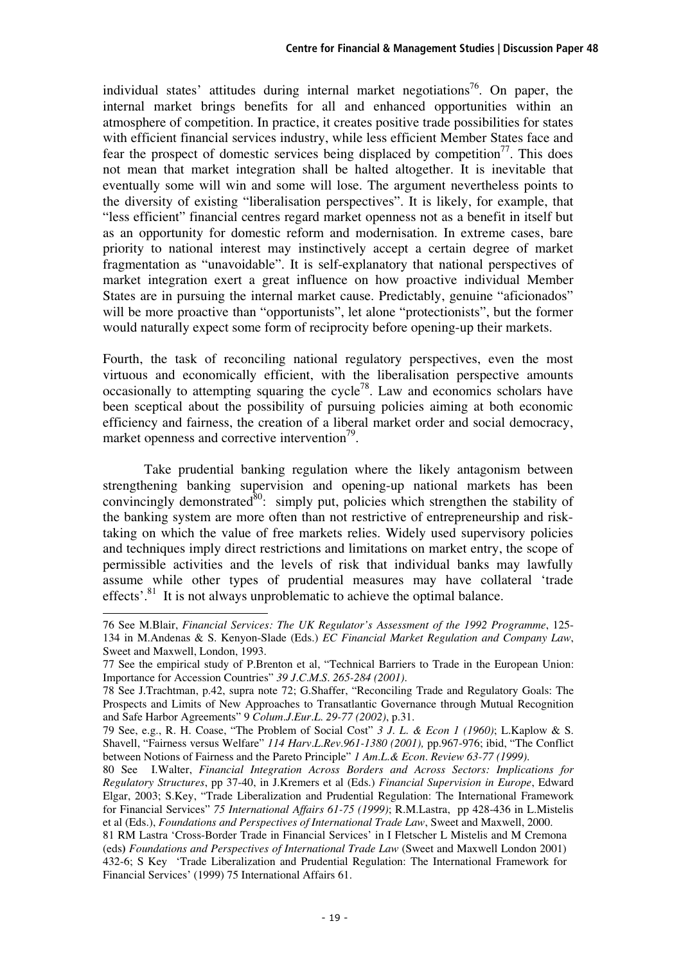individual states' attitudes during internal market negotiations<sup>76</sup>. On paper, the internal market brings benefits for all and enhanced opportunities within an atmosphere of competition. In practice, it creates positive trade possibilities for states with efficient financial services industry, while less efficient Member States face and fear the prospect of domestic services being displaced by competition<sup>77</sup>. This does not mean that market integration shall be halted altogether. It is inevitable that eventually some will win and some will lose. The argument nevertheless points to the diversity of existing "liberalisation perspectives". It is likely, for example, that "less efficient" financial centres regard market openness not as a benefit in itself but as an opportunity for domestic reform and modernisation. In extreme cases, bare priority to national interest may instinctively accept a certain degree of market fragmentation as "unavoidable". It is self-explanatory that national perspectives of market integration exert a great influence on how proactive individual Member States are in pursuing the internal market cause. Predictably, genuine "aficionados" will be more proactive than "opportunists", let alone "protectionists", but the former would naturally expect some form of reciprocity before opening-up their markets.

Fourth, the task of reconciling national regulatory perspectives, even the most virtuous and economically efficient, with the liberalisation perspective amounts occasionally to attempting squaring the cycle<sup>78</sup>. Law and economics scholars have been sceptical about the possibility of pursuing policies aiming at both economic efficiency and fairness, the creation of a liberal market order and social democracy, market openness and corrective intervention<sup>79</sup>.

Take prudential banking regulation where the likely antagonism between strengthening banking supervision and opening-up national markets has been convincingly demonstrated $80$ : simply put, policies which strengthen the stability of the banking system are more often than not restrictive of entrepreneurship and risktaking on which the value of free markets relies. Widely used supervisory policies and techniques imply direct restrictions and limitations on market entry, the scope of permissible activities and the levels of risk that individual banks may lawfully assume while other types of prudential measures may have collateral 'trade effects'.<sup>81</sup> It is not always unproblematic to achieve the optimal balance.

<sup>76</sup> See M.Blair, *Financial Services: The UK Regulator's Assessment of the 1992 Programme*, 125- 134 in M.Andenas & S. Kenyon-Slade (Eds.) *EC Financial Market Regulation and Company Law*, Sweet and Maxwell, London, 1993.

<sup>77</sup> See the empirical study of P.Brenton et al, "Technical Barriers to Trade in the European Union: Importance for Accession Countries" *39 J.C.M.S. 265-284 (2001)*.

<sup>78</sup> See J.Trachtman, p.42, supra note 72; G.Shaffer, "Reconciling Trade and Regulatory Goals: The Prospects and Limits of New Approaches to Transatlantic Governance through Mutual Recognition and Safe Harbor Agreements" 9 *Colum.J.Eur.L. 29-77 (2002)*, p.31.

<sup>79</sup> See, e.g., R. H. Coase, "The Problem of Social Cost" *3 J. L. & Econ 1 (1960)*; L.Kaplow & S. Shavell, "Fairness versus Welfare" *114 Harv.L.Rev.961-1380 (2001),* pp.967-976; ibid, "The Conflict between Notions of Fairness and the Pareto Principle" *1 Am.L.& Econ. Review 63-77 (1999).*

<sup>80</sup> See I.Walter, *Financial Integration Across Borders and Across Sectors: Implications for Regulatory Structures*, pp 37-40, in J.Kremers et al (Eds.) *Financial Supervision in Europe*, Edward Elgar, 2003; S.Key, "Trade Liberalization and Prudential Regulation: The International Framework for Financial Services" *75 International Affairs 61-75 (1999)*; R.M.Lastra, pp 428-436 in L.Mistelis et al (Eds.), *Foundations and Perspectives of International Trade Law*, Sweet and Maxwell, 2000.

<sup>81</sup> RM Lastra 'Cross-Border Trade in Financial Services' in I Fletscher L Mistelis and M Cremona (eds**)** *Foundations and Perspectives of International Trade Law* (Sweet and Maxwell London 2001) 432-6; S Key 'Trade Liberalization and Prudential Regulation: The International Framework for Financial Services' (1999) 75 International Affairs 61.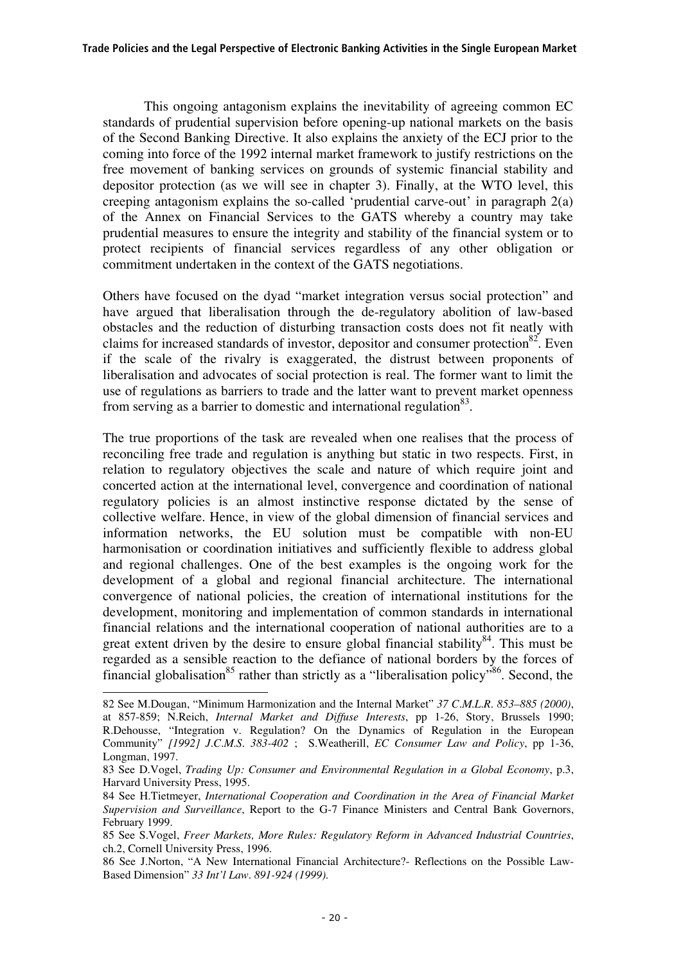This ongoing antagonism explains the inevitability of agreeing common EC standards of prudential supervision before opening-up national markets on the basis of the Second Banking Directive. It also explains the anxiety of the ECJ prior to the coming into force of the 1992 internal market framework to justify restrictions on the free movement of banking services on grounds of systemic financial stability and depositor protection (as we will see in chapter 3). Finally, at the WTO level, this creeping antagonism explains the so-called 'prudential carve-out' in paragraph 2(a) of the Annex on Financial Services to the GATS whereby a country may take prudential measures to ensure the integrity and stability of the financial system or to protect recipients of financial services regardless of any other obligation or commitment undertaken in the context of the GATS negotiations.

Others have focused on the dyad "market integration versus social protection" and have argued that liberalisation through the de-regulatory abolition of law-based obstacles and the reduction of disturbing transaction costs does not fit neatly with claims for increased standards of investor, depositor and consumer protection<sup>82</sup>. Even if the scale of the rivalry is exaggerated, the distrust between proponents of liberalisation and advocates of social protection is real. The former want to limit the use of regulations as barriers to trade and the latter want to prevent market openness from serving as a barrier to domestic and international regulation  $83$ .

The true proportions of the task are revealed when one realises that the process of reconciling free trade and regulation is anything but static in two respects. First, in relation to regulatory objectives the scale and nature of which require joint and concerted action at the international level, convergence and coordination of national regulatory policies is an almost instinctive response dictated by the sense of collective welfare. Hence, in view of the global dimension of financial services and information networks, the EU solution must be compatible with non-EU harmonisation or coordination initiatives and sufficiently flexible to address global and regional challenges. One of the best examples is the ongoing work for the development of a global and regional financial architecture. The international convergence of national policies, the creation of international institutions for the development, monitoring and implementation of common standards in international financial relations and the international cooperation of national authorities are to a great extent driven by the desire to ensure global financial stability $^{84}$ . This must be regarded as a sensible reaction to the defiance of national borders by the forces of financial globalisation<sup>85</sup> rather than strictly as a "liberalisation policy"<sup>86</sup>. Second, the

<sup>82</sup> See M.Dougan, "Minimum Harmonization and the Internal Market" *37 C.M.L.R. 853–885 (2000)*, at 857-859; N.Reich, *Internal Market and Diffuse Interests*, pp 1-26, Story, Brussels 1990; R.Dehousse, "Integration v. Regulation? On the Dynamics of Regulation in the European Community" *[1992] J.C.M.S. 383-402* ; S.Weatherill, *EC Consumer Law and Policy*, pp 1-36, Longman, 1997.

<sup>83</sup> See D.Vogel, *Trading Up: Consumer and Environmental Regulation in a Global Economy*, p.3, Harvard University Press, 1995.

<sup>84</sup> See H.Tietmeyer, *International Cooperation and Coordination in the Area of Financial Market Supervision and Surveillance*, Report to the G-7 Finance Ministers and Central Bank Governors, February 1999.

<sup>85</sup> See S.Vogel, *Freer Markets, More Rules: Regulatory Reform in Advanced Industrial Countries*, ch.2, Cornell University Press, 1996.

<sup>86</sup> See J.Norton, "A New International Financial Architecture?- Reflections on the Possible Law-Based Dimension" *33 Int'l Law. 891-924 (1999)*.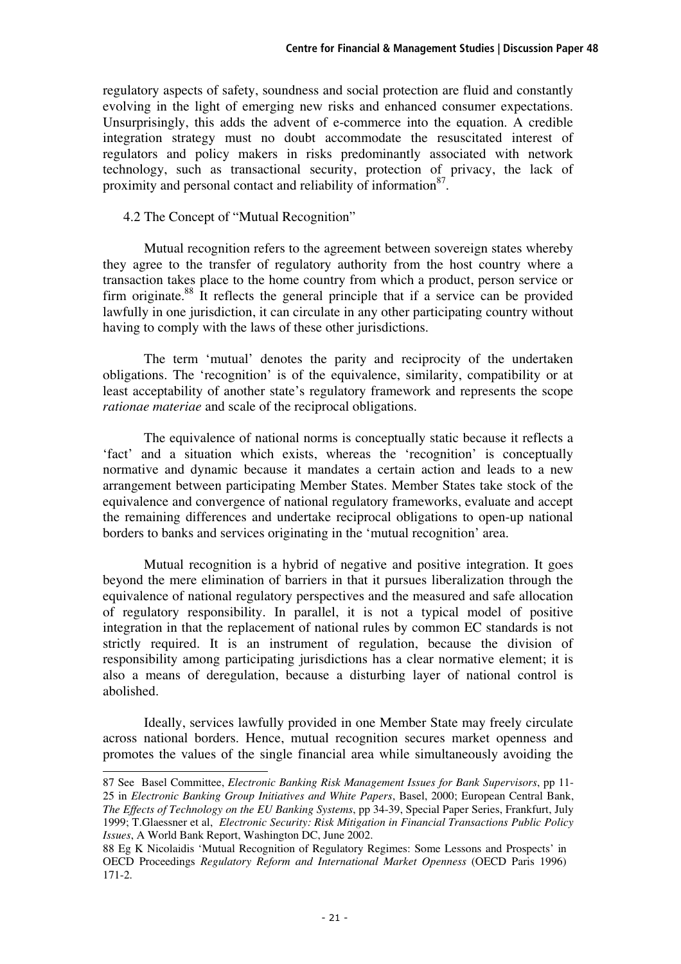regulatory aspects of safety, soundness and social protection are fluid and constantly evolving in the light of emerging new risks and enhanced consumer expectations. Unsurprisingly, this adds the advent of e-commerce into the equation. A credible integration strategy must no doubt accommodate the resuscitated interest of regulators and policy makers in risks predominantly associated with network technology, such as transactional security, protection of privacy, the lack of proximity and personal contact and reliability of information<sup>87</sup>.

4.2 The Concept of "Mutual Recognition"

Mutual recognition refers to the agreement between sovereign states whereby they agree to the transfer of regulatory authority from the host country where a transaction takes place to the home country from which a product, person service or firm originate.<sup>88</sup> It reflects the general principle that if a service can be provided lawfully in one jurisdiction, it can circulate in any other participating country without having to comply with the laws of these other jurisdictions.

The term 'mutual' denotes the parity and reciprocity of the undertaken obligations. The 'recognition' is of the equivalence, similarity, compatibility or at least acceptability of another state's regulatory framework and represents the scope *rationae materiae* and scale of the reciprocal obligations.

The equivalence of national norms is conceptually static because it reflects a 'fact' and a situation which exists, whereas the 'recognition' is conceptually normative and dynamic because it mandates a certain action and leads to a new arrangement between participating Member States. Member States take stock of the equivalence and convergence of national regulatory frameworks, evaluate and accept the remaining differences and undertake reciprocal obligations to open-up national borders to banks and services originating in the 'mutual recognition' area.

Mutual recognition is a hybrid of negative and positive integration. It goes beyond the mere elimination of barriers in that it pursues liberalization through the equivalence of national regulatory perspectives and the measured and safe allocation of regulatory responsibility. In parallel, it is not a typical model of positive integration in that the replacement of national rules by common EC standards is not strictly required. It is an instrument of regulation, because the division of responsibility among participating jurisdictions has a clear normative element; it is also a means of deregulation, because a disturbing layer of national control is abolished.

Ideally, services lawfully provided in one Member State may freely circulate across national borders. Hence, mutual recognition secures market openness and promotes the values of the single financial area while simultaneously avoiding the

<sup>87</sup> See Basel Committee, *Electronic Banking Risk Management Issues for Bank Supervisors*, pp 11- 25 in *Electronic Banking Group Initiatives and White Papers*, Basel, 2000; European Central Bank, *The Effects of Technology on the EU Banking Systems*, pp 34-39, Special Paper Series, Frankfurt, July 1999; T.Glaessner et al, *Electronic Security: Risk Mitigation in Financial Transactions Public Policy Issues*, A World Bank Report, Washington DC, June 2002.

<sup>88</sup> Eg K Nicolaidis 'Mutual Recognition of Regulatory Regimes: Some Lessons and Prospects' in OECD Proceedings *Regulatory Reform and International Market Openness* (OECD Paris 1996) 171-2.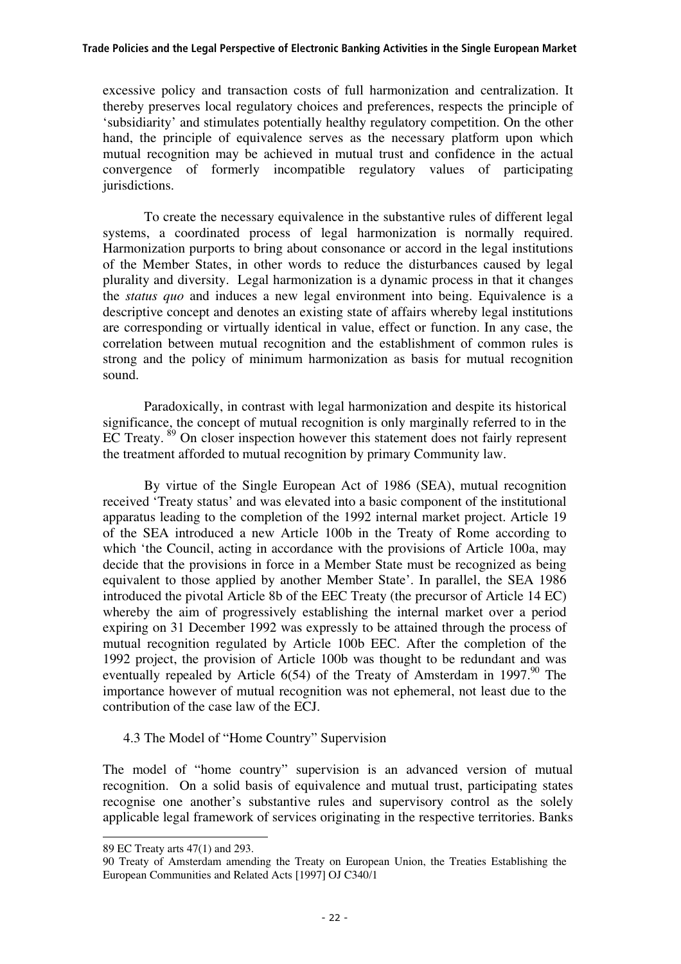### **Trade Policies and the Legal Perspective of Electronic Banking Activities in the Single European Market**

excessive policy and transaction costs of full harmonization and centralization. It thereby preserves local regulatory choices and preferences, respects the principle of 'subsidiarity' and stimulates potentially healthy regulatory competition. On the other hand, the principle of equivalence serves as the necessary platform upon which mutual recognition may be achieved in mutual trust and confidence in the actual convergence of formerly incompatible regulatory values of participating jurisdictions.

To create the necessary equivalence in the substantive rules of different legal systems, a coordinated process of legal harmonization is normally required. Harmonization purports to bring about consonance or accord in the legal institutions of the Member States, in other words to reduce the disturbances caused by legal plurality and diversity. Legal harmonization is a dynamic process in that it changes the *status quo* and induces a new legal environment into being. Equivalence is a descriptive concept and denotes an existing state of affairs whereby legal institutions are corresponding or virtually identical in value, effect or function. In any case, the correlation between mutual recognition and the establishment of common rules is strong and the policy of minimum harmonization as basis for mutual recognition sound.

Paradoxically, in contrast with legal harmonization and despite its historical significance, the concept of mutual recognition is only marginally referred to in the EC Treaty. <sup>89</sup> On closer inspection however this statement does not fairly represent the treatment afforded to mutual recognition by primary Community law.

By virtue of the Single European Act of 1986 (SEA), mutual recognition received 'Treaty status' and was elevated into a basic component of the institutional apparatus leading to the completion of the 1992 internal market project. Article 19 of the SEA introduced a new Article 100b in the Treaty of Rome according to which 'the Council, acting in accordance with the provisions of Article 100a, may decide that the provisions in force in a Member State must be recognized as being equivalent to those applied by another Member State'. In parallel, the SEA 1986 introduced the pivotal Article 8b of the EEC Treaty (the precursor of Article 14 EC) whereby the aim of progressively establishing the internal market over a period expiring on 31 December 1992 was expressly to be attained through the process of mutual recognition regulated by Article 100b EEC. After the completion of the 1992 project, the provision of Article 100b was thought to be redundant and was eventually repealed by Article  $6(54)$  of the Treaty of Amsterdam in 1997.<sup>90</sup> The importance however of mutual recognition was not ephemeral, not least due to the contribution of the case law of the ECJ.

# 4.3 The Model of "Home Country" Supervision

The model of "home country" supervision is an advanced version of mutual recognition. On a solid basis of equivalence and mutual trust, participating states recognise one another's substantive rules and supervisory control as the solely applicable legal framework of services originating in the respective territories. Banks

<sup>89</sup> EC Treaty arts 47(1) and 293.

<sup>90</sup> Treaty of Amsterdam amending the Treaty on European Union, the Treaties Establishing the European Communities and Related Acts [1997] OJ C340/1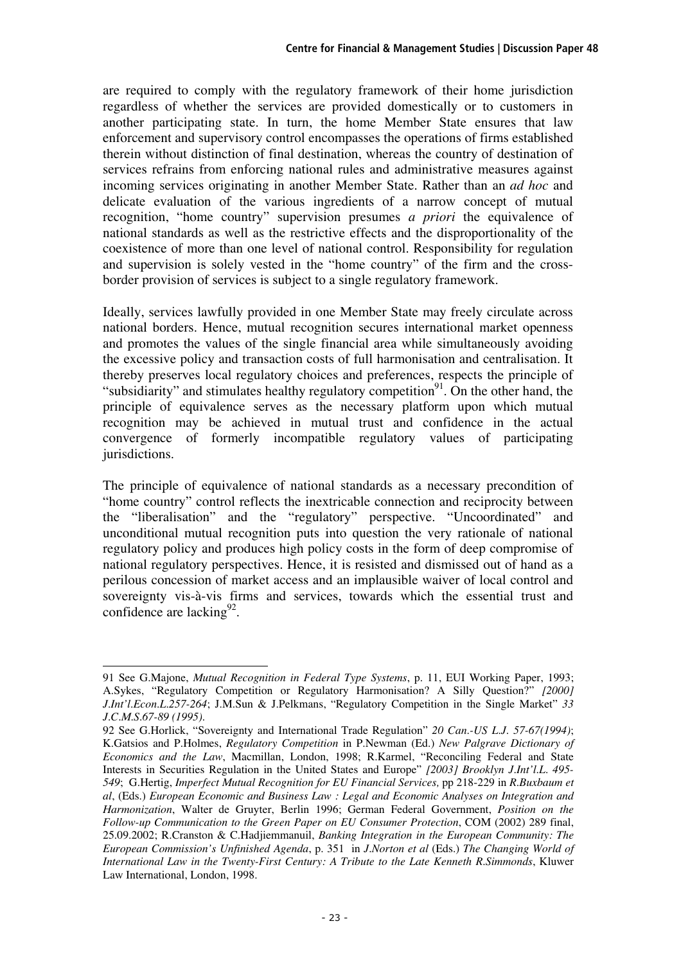are required to comply with the regulatory framework of their home jurisdiction regardless of whether the services are provided domestically or to customers in another participating state. In turn, the home Member State ensures that law enforcement and supervisory control encompasses the operations of firms established therein without distinction of final destination, whereas the country of destination of services refrains from enforcing national rules and administrative measures against incoming services originating in another Member State. Rather than an *ad hoc* and delicate evaluation of the various ingredients of a narrow concept of mutual recognition, "home country" supervision presumes *a priori* the equivalence of national standards as well as the restrictive effects and the disproportionality of the coexistence of more than one level of national control. Responsibility for regulation and supervision is solely vested in the "home country" of the firm and the crossborder provision of services is subject to a single regulatory framework.

Ideally, services lawfully provided in one Member State may freely circulate across national borders. Hence, mutual recognition secures international market openness and promotes the values of the single financial area while simultaneously avoiding the excessive policy and transaction costs of full harmonisation and centralisation. It thereby preserves local regulatory choices and preferences, respects the principle of "subsidiarity" and stimulates healthy regulatory competition<sup>91</sup>. On the other hand, the principle of equivalence serves as the necessary platform upon which mutual recognition may be achieved in mutual trust and confidence in the actual convergence of formerly incompatible regulatory values of participating jurisdictions.

The principle of equivalence of national standards as a necessary precondition of "home country" control reflects the inextricable connection and reciprocity between the "liberalisation" and the "regulatory" perspective. "Uncoordinated" and unconditional mutual recognition puts into question the very rationale of national regulatory policy and produces high policy costs in the form of deep compromise of national regulatory perspectives. Hence, it is resisted and dismissed out of hand as a perilous concession of market access and an implausible waiver of local control and sovereignty vis-à-vis firms and services, towards which the essential trust and confidence are lacking $^{92}$ .

<sup>91</sup> See G.Majone, *Mutual Recognition in Federal Type Systems*, p. 11, EUI Working Paper, 1993; A.Sykes, "Regulatory Competition or Regulatory Harmonisation? A Silly Question?" *[2000] J.Int'l.Econ.L.257-264*; J.M.Sun & J.Pelkmans, "Regulatory Competition in the Single Market" *33 J.C.M.S.67-89 (1995)*.

<sup>92</sup> See G.Horlick, "Sovereignty and International Trade Regulation" *20 Can.-US L.J. 57-67(1994)*; K.Gatsios and P.Holmes, *Regulatory Competition* in P.Newman (Ed.) *New Palgrave Dictionary of Economics and the Law*, Macmillan, London, 1998; R.Karmel, "Reconciling Federal and State Interests in Securities Regulation in the United States and Europe" *[2003] Brooklyn J.Int'l.L. 495- 549*; G.Hertig, *Imperfect Mutual Recognition for EU Financial Services,* pp 218-229 in *R.Buxbaum et al*, (Eds.) *European Economic and Business Law : Legal and Economic Analyses on Integration and Harmonization*, Walter de Gruyter, Berlin 1996; German Federal Government, *Position on the Follow-up Communication to the Green Paper on EU Consumer Protection*, COM (2002) 289 final, 25.09.2002; R.Cranston & C.Hadjiemmanuil, *Banking Integration in the European Community: The European Commission's Unfinished Agenda*, p. 351 in *J.Norton et al* (Eds.) *The Changing World of International Law in the Twenty-First Century: A Tribute to the Late Kenneth R.Simmonds*, Kluwer Law International, London, 1998.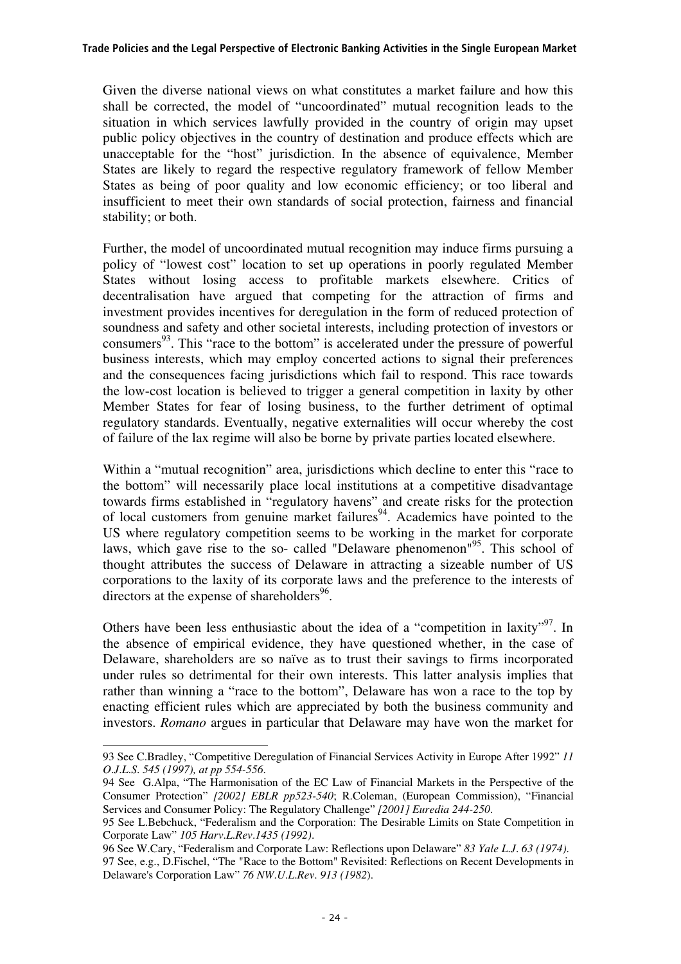Given the diverse national views on what constitutes a market failure and how this shall be corrected, the model of "uncoordinated" mutual recognition leads to the situation in which services lawfully provided in the country of origin may upset public policy objectives in the country of destination and produce effects which are unacceptable for the "host" jurisdiction. In the absence of equivalence, Member States are likely to regard the respective regulatory framework of fellow Member States as being of poor quality and low economic efficiency; or too liberal and insufficient to meet their own standards of social protection, fairness and financial stability; or both.

Further, the model of uncoordinated mutual recognition may induce firms pursuing a policy of "lowest cost" location to set up operations in poorly regulated Member States without losing access to profitable markets elsewhere. Critics of decentralisation have argued that competing for the attraction of firms and investment provides incentives for deregulation in the form of reduced protection of soundness and safety and other societal interests, including protection of investors or consumers $^{93}$ . This "race to the bottom" is accelerated under the pressure of powerful business interests, which may employ concerted actions to signal their preferences and the consequences facing jurisdictions which fail to respond. This race towards the low-cost location is believed to trigger a general competition in laxity by other Member States for fear of losing business, to the further detriment of optimal regulatory standards. Eventually, negative externalities will occur whereby the cost of failure of the lax regime will also be borne by private parties located elsewhere.

Within a "mutual recognition" area, jurisdictions which decline to enter this "race to the bottom" will necessarily place local institutions at a competitive disadvantage towards firms established in "regulatory havens" and create risks for the protection of local customers from genuine market failures<sup>94</sup>. Academics have pointed to the US where regulatory competition seems to be working in the market for corporate laws, which gave rise to the so- called "Delaware phenomenon"<sup>95</sup>. This school of thought attributes the success of Delaware in attracting a sizeable number of US corporations to the laxity of its corporate laws and the preference to the interests of directors at the expense of shareholders<sup>96</sup>.

Others have been less enthusiastic about the idea of a "competition in laxity"<sup>97</sup>. In the absence of empirical evidence, they have questioned whether, in the case of Delaware, shareholders are so naïve as to trust their savings to firms incorporated under rules so detrimental for their own interests. This latter analysis implies that rather than winning a "race to the bottom", Delaware has won a race to the top by enacting efficient rules which are appreciated by both the business community and investors. *Romano* argues in particular that Delaware may have won the market for

<sup>93</sup> See C.Bradley, "Competitive Deregulation of Financial Services Activity in Europe After 1992" *11 O.J.L.S. 545 (1997), at pp 554-556.*

<sup>94</sup> See G.Alpa, "The Harmonisation of the EC Law of Financial Markets in the Perspective of the Consumer Protection" *[2002] EBLR pp523-540*; R.Coleman, (European Commission), "Financial Services and Consumer Policy: The Regulatory Challenge" *[2001] Euredia 244-250*.

<sup>95</sup> See L.Bebchuck, "Federalism and the Corporation: The Desirable Limits on State Competition in Corporate Law" *105 Harv.L.Rev.1435 (1992)*.

<sup>96</sup> See W.Cary, "Federalism and Corporate Law: Reflections upon Delaware" *83 Yale L.J. 63 (1974).*

<sup>97</sup> See, e.g., D.Fischel, "The "Race to the Bottom" Revisited: Reflections on Recent Developments in Delaware's Corporation Law" *76 NW.U.L.Rev. 913 (1982*).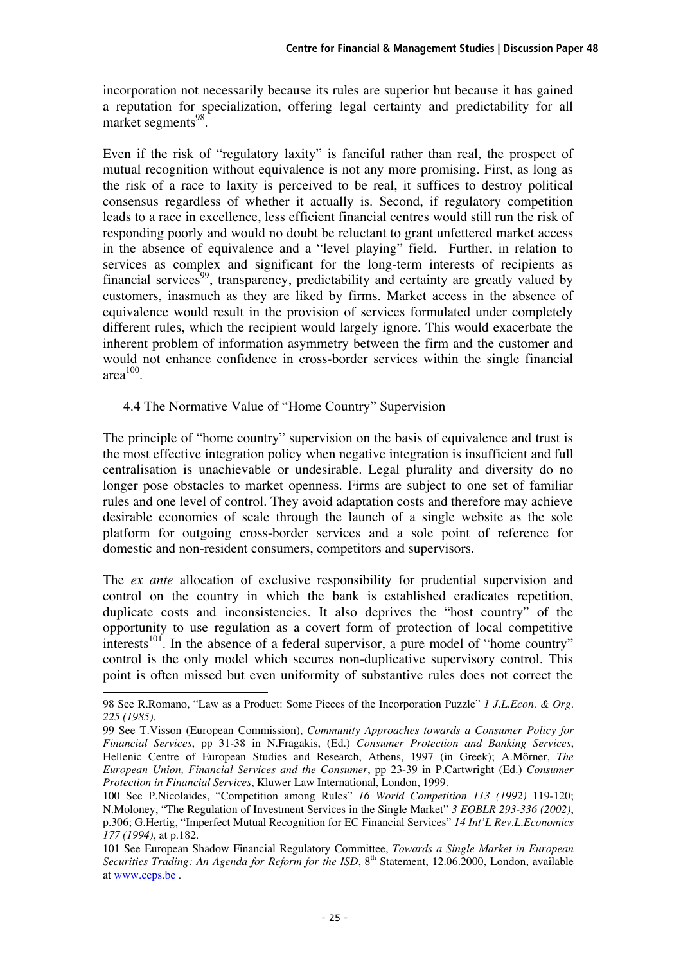incorporation not necessarily because its rules are superior but because it has gained a reputation for specialization, offering legal certainty and predictability for all market segments<sup>98</sup>.

Even if the risk of "regulatory laxity" is fanciful rather than real, the prospect of mutual recognition without equivalence is not any more promising. First, as long as the risk of a race to laxity is perceived to be real, it suffices to destroy political consensus regardless of whether it actually is. Second, if regulatory competition leads to a race in excellence, less efficient financial centres would still run the risk of responding poorly and would no doubt be reluctant to grant unfettered market access in the absence of equivalence and a "level playing" field. Further, in relation to services as complex and significant for the long-term interests of recipients as financial services<sup>99</sup>, transparency, predictability and certainty are greatly valued by customers, inasmuch as they are liked by firms. Market access in the absence of equivalence would result in the provision of services formulated under completely different rules, which the recipient would largely ignore. This would exacerbate the inherent problem of information asymmetry between the firm and the customer and would not enhance confidence in cross-border services within the single financial  $area<sup>100</sup>$ .

# 4.4 The Normative Value of "Home Country" Supervision

The principle of "home country" supervision on the basis of equivalence and trust is the most effective integration policy when negative integration is insufficient and full centralisation is unachievable or undesirable. Legal plurality and diversity do no longer pose obstacles to market openness. Firms are subject to one set of familiar rules and one level of control. They avoid adaptation costs and therefore may achieve desirable economies of scale through the launch of a single website as the sole platform for outgoing cross-border services and a sole point of reference for domestic and non-resident consumers, competitors and supervisors.

The *ex ante* allocation of exclusive responsibility for prudential supervision and control on the country in which the bank is established eradicates repetition, duplicate costs and inconsistencies. It also deprives the "host country" of the opportunity to use regulation as a covert form of protection of local competitive interests<sup>101</sup>. In the absence of a federal supervisor, a pure model of "home country" control is the only model which secures non-duplicative supervisory control. This point is often missed but even uniformity of substantive rules does not correct the

<sup>98</sup> See R.Romano, "Law as a Product: Some Pieces of the Incorporation Puzzle" *1 J.L.Econ. & Org. 225 (1985)*.

<sup>99</sup> See T.Visson (European Commission), *Community Approaches towards a Consumer Policy for Financial Services*, pp 31-38 in N.Fragakis, (Ed.) *Consumer Protection and Banking Services*, Hellenic Centre of European Studies and Research, Athens, 1997 (in Greek); A.Mörner, *The European Union, Financial Services and the Consumer*, pp 23-39 in P.Cartwright (Ed.) *Consumer Protection in Financial Services*, Kluwer Law International, London, 1999.

<sup>100</sup> See P.Nicolaides, "Competition among Rules" *16 World Competition 113 (1992)* 119-120; N.Moloney, "The Regulation of Investment Services in the Single Market" *3 EOBLR 293-336 (2002)*, p.306; G.Hertig, "Imperfect Mutual Recognition for EC Financial Services" *14 Int'L Rev.L.Economics 177 (1994)*, at p.182.

<sup>101</sup> See European Shadow Financial Regulatory Committee, *Towards a Single Market in European Securities Trading: An Agenda for Reform for the ISD*, 8<sup>th</sup> Statement, 12.06.2000, London, available at www.ceps.be .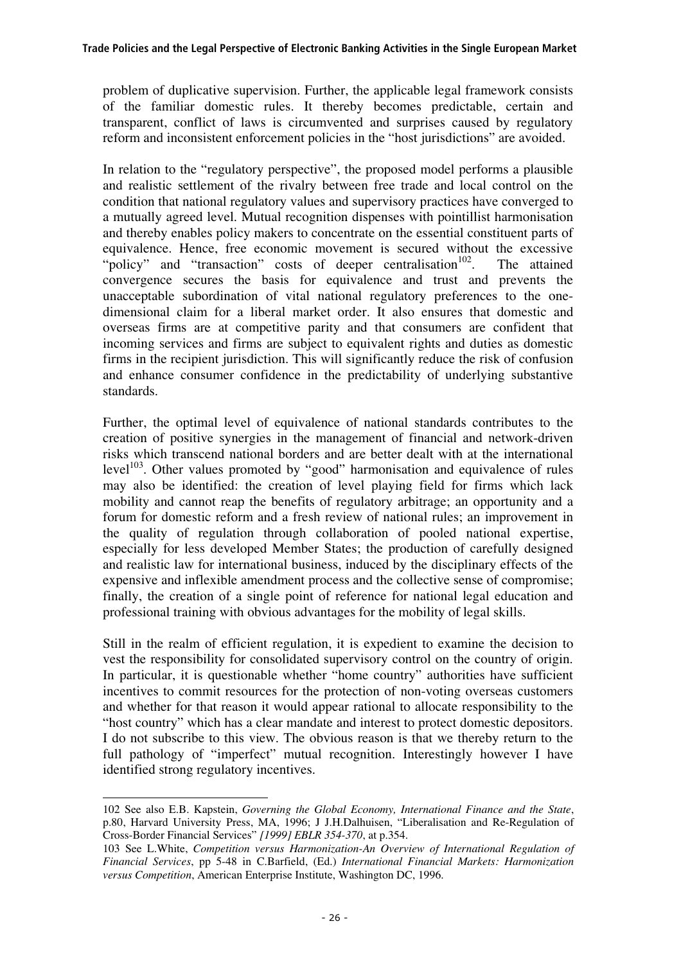problem of duplicative supervision. Further, the applicable legal framework consists of the familiar domestic rules. It thereby becomes predictable, certain and transparent, conflict of laws is circumvented and surprises caused by regulatory reform and inconsistent enforcement policies in the "host jurisdictions" are avoided.

In relation to the "regulatory perspective", the proposed model performs a plausible and realistic settlement of the rivalry between free trade and local control on the condition that national regulatory values and supervisory practices have converged to a mutually agreed level. Mutual recognition dispenses with pointillist harmonisation and thereby enables policy makers to concentrate on the essential constituent parts of equivalence. Hence, free economic movement is secured without the excessive "policy" and "transaction" costs of deeper centralisation<sup>102</sup>. The attained convergence secures the basis for equivalence and trust and prevents the unacceptable subordination of vital national regulatory preferences to the onedimensional claim for a liberal market order. It also ensures that domestic and overseas firms are at competitive parity and that consumers are confident that incoming services and firms are subject to equivalent rights and duties as domestic firms in the recipient jurisdiction. This will significantly reduce the risk of confusion and enhance consumer confidence in the predictability of underlying substantive standards.

Further, the optimal level of equivalence of national standards contributes to the creation of positive synergies in the management of financial and network-driven risks which transcend national borders and are better dealt with at the international level<sup>103</sup>. Other values promoted by "good" harmonisation and equivalence of rules may also be identified: the creation of level playing field for firms which lack mobility and cannot reap the benefits of regulatory arbitrage; an opportunity and a forum for domestic reform and a fresh review of national rules; an improvement in the quality of regulation through collaboration of pooled national expertise, especially for less developed Member States; the production of carefully designed and realistic law for international business, induced by the disciplinary effects of the expensive and inflexible amendment process and the collective sense of compromise; finally, the creation of a single point of reference for national legal education and professional training with obvious advantages for the mobility of legal skills.

Still in the realm of efficient regulation, it is expedient to examine the decision to vest the responsibility for consolidated supervisory control on the country of origin. In particular, it is questionable whether "home country" authorities have sufficient incentives to commit resources for the protection of non-voting overseas customers and whether for that reason it would appear rational to allocate responsibility to the "host country" which has a clear mandate and interest to protect domestic depositors. I do not subscribe to this view. The obvious reason is that we thereby return to the full pathology of "imperfect" mutual recognition. Interestingly however I have identified strong regulatory incentives.

<sup>102</sup> See also E.B. Kapstein, *Governing the Global Economy, International Finance and the State*, p.80, Harvard University Press, MA, 1996; J J.H.Dalhuisen, "Liberalisation and Re-Regulation of Cross-Border Financial Services" *[1999] EBLR 354-370*, at p.354.

<sup>103</sup> See L.White, *Competition versus Harmonization-An Overview of International Regulation of Financial Services*, pp 5-48 in C.Barfield, (Ed.) *International Financial Markets: Harmonization versus Competition*, American Enterprise Institute, Washington DC, 1996.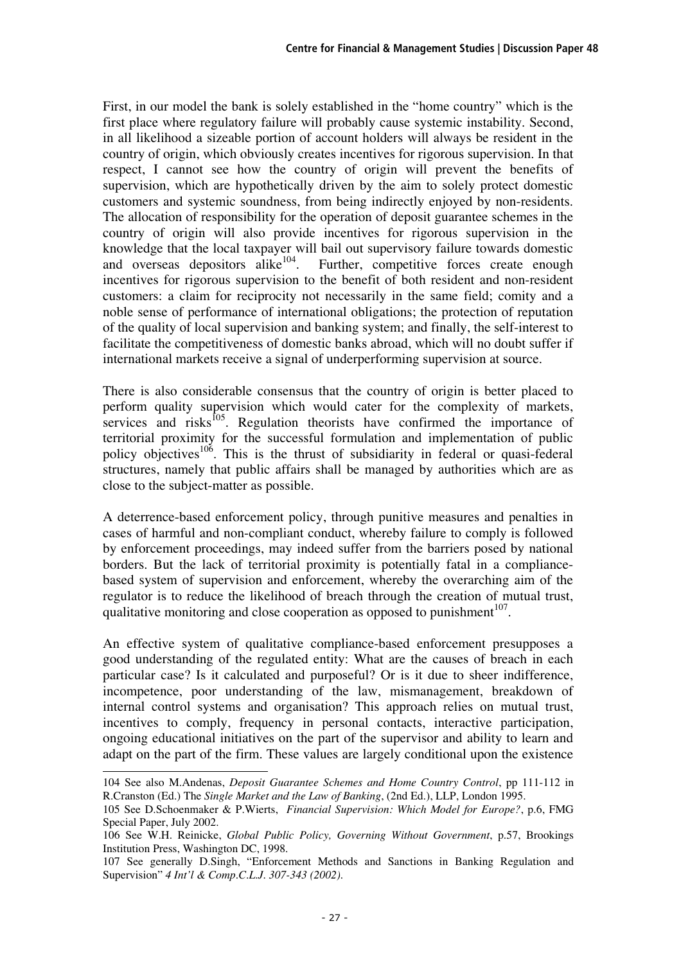First, in our model the bank is solely established in the "home country" which is the first place where regulatory failure will probably cause systemic instability. Second, in all likelihood a sizeable portion of account holders will always be resident in the country of origin, which obviously creates incentives for rigorous supervision. In that respect, I cannot see how the country of origin will prevent the benefits of supervision, which are hypothetically driven by the aim to solely protect domestic customers and systemic soundness, from being indirectly enjoyed by non-residents. The allocation of responsibility for the operation of deposit guarantee schemes in the country of origin will also provide incentives for rigorous supervision in the knowledge that the local taxpayer will bail out supervisory failure towards domestic and overseas depositors alike<sup>104</sup>. Further, competitive forces create enough incentives for rigorous supervision to the benefit of both resident and non-resident customers: a claim for reciprocity not necessarily in the same field; comity and a noble sense of performance of international obligations; the protection of reputation of the quality of local supervision and banking system; and finally, the self-interest to facilitate the competitiveness of domestic banks abroad, which will no doubt suffer if international markets receive a signal of underperforming supervision at source.

There is also considerable consensus that the country of origin is better placed to perform quality supervision which would cater for the complexity of markets, services and risks<sup>105</sup>. Regulation theorists have confirmed the importance of territorial proximity for the successful formulation and implementation of public policy objectives<sup>106</sup>. This is the thrust of subsidiarity in federal or quasi-federal structures, namely that public affairs shall be managed by authorities which are as close to the subject-matter as possible.

A deterrence-based enforcement policy, through punitive measures and penalties in cases of harmful and non-compliant conduct, whereby failure to comply is followed by enforcement proceedings, may indeed suffer from the barriers posed by national borders. But the lack of territorial proximity is potentially fatal in a compliancebased system of supervision and enforcement, whereby the overarching aim of the regulator is to reduce the likelihood of breach through the creation of mutual trust, qualitative monitoring and close cooperation as opposed to punishment $107$ .

An effective system of qualitative compliance-based enforcement presupposes a good understanding of the regulated entity: What are the causes of breach in each particular case? Is it calculated and purposeful? Or is it due to sheer indifference, incompetence, poor understanding of the law, mismanagement, breakdown of internal control systems and organisation? This approach relies on mutual trust, incentives to comply, frequency in personal contacts, interactive participation, ongoing educational initiatives on the part of the supervisor and ability to learn and adapt on the part of the firm. These values are largely conditional upon the existence

<sup>104</sup> See also M.Andenas, *Deposit Guarantee Schemes and Home Country Control*, pp 111-112 in R.Cranston (Ed.) The *Single Market and the Law of Banking*, (2nd Ed.), LLP, London 1995.

<sup>105</sup> See D.Schoenmaker & P.Wierts, *Financial Supervision: Which Model for Europe?*, p.6, FMG Special Paper, July 2002.

<sup>106</sup> See W.H. Reinicke, *Global Public Policy, Governing Without Government*, p.57, Brookings Institution Press, Washington DC, 1998.

<sup>107</sup> See generally D.Singh, "Enforcement Methods and Sanctions in Banking Regulation and Supervision" *4 Int'l & Comp.C.L.J. 307-343 (2002).*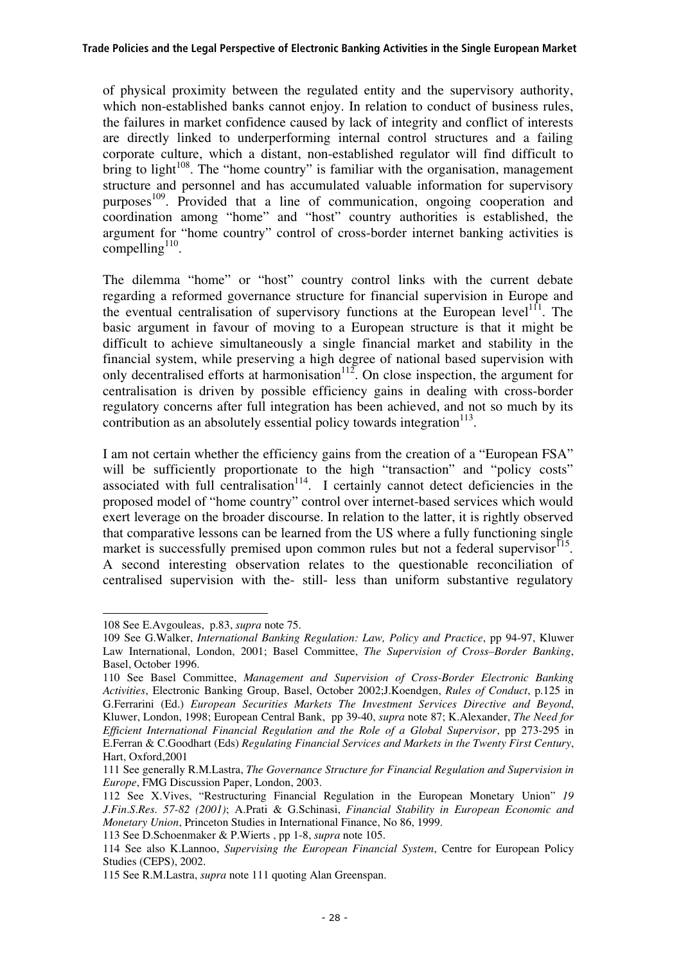of physical proximity between the regulated entity and the supervisory authority, which non-established banks cannot enjoy. In relation to conduct of business rules, the failures in market confidence caused by lack of integrity and conflict of interests are directly linked to underperforming internal control structures and a failing corporate culture, which a distant, non-established regulator will find difficult to bring to light<sup>108</sup>. The "home country" is familiar with the organisation, management structure and personnel and has accumulated valuable information for supervisory purposes<sup>109</sup>. Provided that a line of communication, ongoing cooperation and coordination among "home" and "host" country authorities is established, the argument for "home country" control of cross-border internet banking activities is  $commelling<sup>110</sup>$ .

The dilemma "home" or "host" country control links with the current debate regarding a reformed governance structure for financial supervision in Europe and the eventual centralisation of supervisory functions at the European level<sup>111</sup>. The basic argument in favour of moving to a European structure is that it might be difficult to achieve simultaneously a single financial market and stability in the financial system, while preserving a high degree of national based supervision with only decentralised efforts at harmonisation<sup>112</sup>. On close inspection, the argument for centralisation is driven by possible efficiency gains in dealing with cross-border regulatory concerns after full integration has been achieved, and not so much by its contribution as an absolutely essential policy towards integration<sup>113</sup>.

I am not certain whether the efficiency gains from the creation of a "European FSA" will be sufficiently proportionate to the high "transaction" and "policy costs" associated with full centralisation<sup>114</sup>. I certainly cannot detect deficiencies in the proposed model of "home country" control over internet-based services which would exert leverage on the broader discourse. In relation to the latter, it is rightly observed that comparative lessons can be learned from the US where a fully functioning single market is successfully premised upon common rules but not a federal supervisor<sup>115</sup>. A second interesting observation relates to the questionable reconciliation of centralised supervision with the- still- less than uniform substantive regulatory

<sup>108</sup> See E.Avgouleas, p.83, *supra* note 75.

<sup>109</sup> See G.Walker, *International Banking Regulation: Law, Policy and Practice*, pp 94-97, Kluwer Law International, London, 2001; Basel Committee, *The Supervision of Cross–Border Banking*, Basel, October 1996.

<sup>110</sup> See Basel Committee, *Management and Supervision of Cross-Border Electronic Banking Activities*, Electronic Banking Group, Basel, October 2002;J.Koendgen, *Rules of Conduct*, p.125 in G.Ferrarini (Ed.) *European Securities Markets The Investment Services Directive and Beyond*, Kluwer, London, 1998; European Central Bank, pp 39-40, *supra* note 87; K.Alexander, *The Need for Efficient International Financial Regulation and the Role of a Global Supervisor*, pp 273-295 in E.Ferran & C.Goodhart (Eds) *Regulating Financial Services and Markets in the Twenty First Century*, Hart, Oxford,2001

<sup>111</sup> See generally R.M.Lastra, *The Governance Structure for Financial Regulation and Supervision in Europe*, FMG Discussion Paper, London, 2003.

<sup>112</sup> See X.Vives, "Restructuring Financial Regulation in the European Monetary Union" *19 J.Fin.S.Res. 57-82 (2001)*; A.Prati & G.Schinasi, *Financial Stability in European Economic and Monetary Union*, Princeton Studies in International Finance, No 86, 1999.

<sup>113</sup> See D.Schoenmaker & P.Wierts , pp 1-8, *supra* note 105.

<sup>114</sup> See also K.Lannoo, *Supervising the European Financial System*, Centre for European Policy Studies (CEPS), 2002.

<sup>115</sup> See R.M.Lastra, *supra* note 111 quoting Alan Greenspan.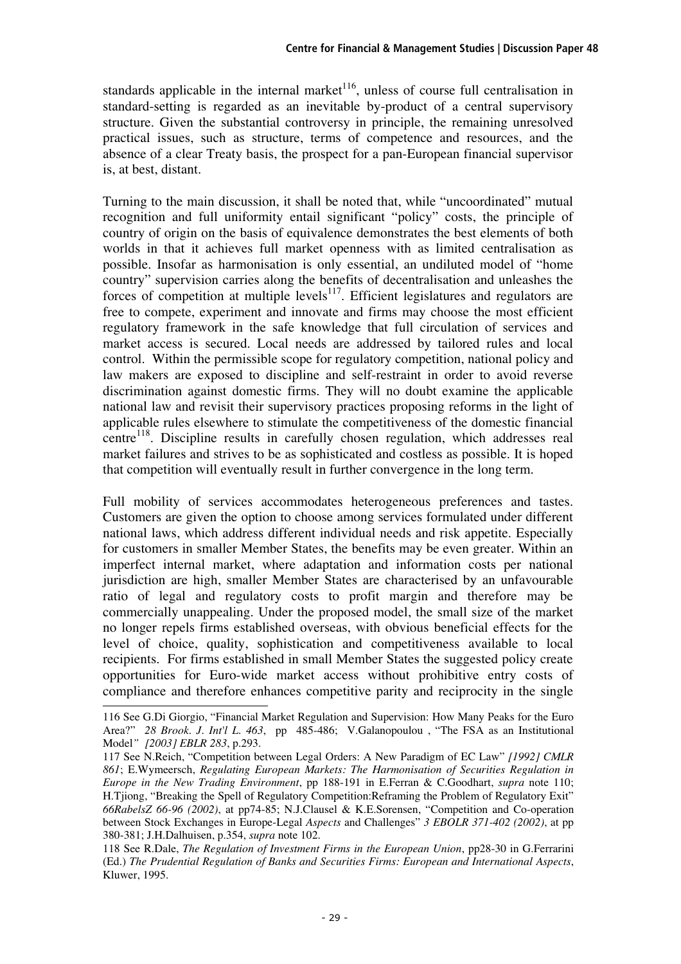standards applicable in the internal market<sup>116</sup>, unless of course full centralisation in standard-setting is regarded as an inevitable by-product of a central supervisory structure. Given the substantial controversy in principle, the remaining unresolved practical issues, such as structure, terms of competence and resources, and the absence of a clear Treaty basis, the prospect for a pan-European financial supervisor is, at best, distant.

Turning to the main discussion, it shall be noted that, while "uncoordinated" mutual recognition and full uniformity entail significant "policy" costs, the principle of country of origin on the basis of equivalence demonstrates the best elements of both worlds in that it achieves full market openness with as limited centralisation as possible. Insofar as harmonisation is only essential, an undiluted model of "home country" supervision carries along the benefits of decentralisation and unleashes the forces of competition at multiple levels<sup>117</sup>. Efficient legislatures and regulators are free to compete, experiment and innovate and firms may choose the most efficient regulatory framework in the safe knowledge that full circulation of services and market access is secured. Local needs are addressed by tailored rules and local control. Within the permissible scope for regulatory competition, national policy and law makers are exposed to discipline and self-restraint in order to avoid reverse discrimination against domestic firms. They will no doubt examine the applicable national law and revisit their supervisory practices proposing reforms in the light of applicable rules elsewhere to stimulate the competitiveness of the domestic financial  $centre<sup>118</sup>$ . Discipline results in carefully chosen regulation, which addresses real market failures and strives to be as sophisticated and costless as possible. It is hoped that competition will eventually result in further convergence in the long term.

Full mobility of services accommodates heterogeneous preferences and tastes. Customers are given the option to choose among services formulated under different national laws, which address different individual needs and risk appetite. Especially for customers in smaller Member States, the benefits may be even greater. Within an imperfect internal market, where adaptation and information costs per national jurisdiction are high, smaller Member States are characterised by an unfavourable ratio of legal and regulatory costs to profit margin and therefore may be commercially unappealing. Under the proposed model, the small size of the market no longer repels firms established overseas, with obvious beneficial effects for the level of choice, quality, sophistication and competitiveness available to local recipients. For firms established in small Member States the suggested policy create opportunities for Euro-wide market access without prohibitive entry costs of compliance and therefore enhances competitive parity and reciprocity in the single

<sup>116</sup> See G.Di Giorgio, "Financial Market Regulation and Supervision: How Many Peaks for the Euro Area?" *28 Brook. J. Int'l L. 463*, pp 485-486; V.Galanopoulou , "The FSA as an Institutional Model*" [2003] EBLR 283*, p.293.

<sup>117</sup> See N.Reich, "Competition between Legal Orders: A New Paradigm of EC Law" *[1992] CMLR 861*; E.Wymeersch, *Regulating European Markets: The Harmonisation of Securities Regulation in Europe in the New Trading Environment*, pp 188-191 in E.Ferran & C.Goodhart, *supra* note 110; H.Tjiong, "Breaking the Spell of Regulatory Competition:Reframing the Problem of Regulatory Exit" *66RabelsZ 66-96 (2002)*, at pp74-85; N.J.Clausel & K.E.Sorensen, "Competition and Co-operation between Stock Exchanges in Europe-Legal *Aspects* and Challenges" *3 EBOLR 371-402 (2002)*, at pp 380-381; J.H.Dalhuisen, p.354, *supra* note 102.

<sup>118</sup> See R.Dale, *The Regulation of Investment Firms in the European Union*, pp28-30 in G.Ferrarini (Ed.) *The Prudential Regulation of Banks and Securities Firms: European and International Aspects*, Kluwer, 1995.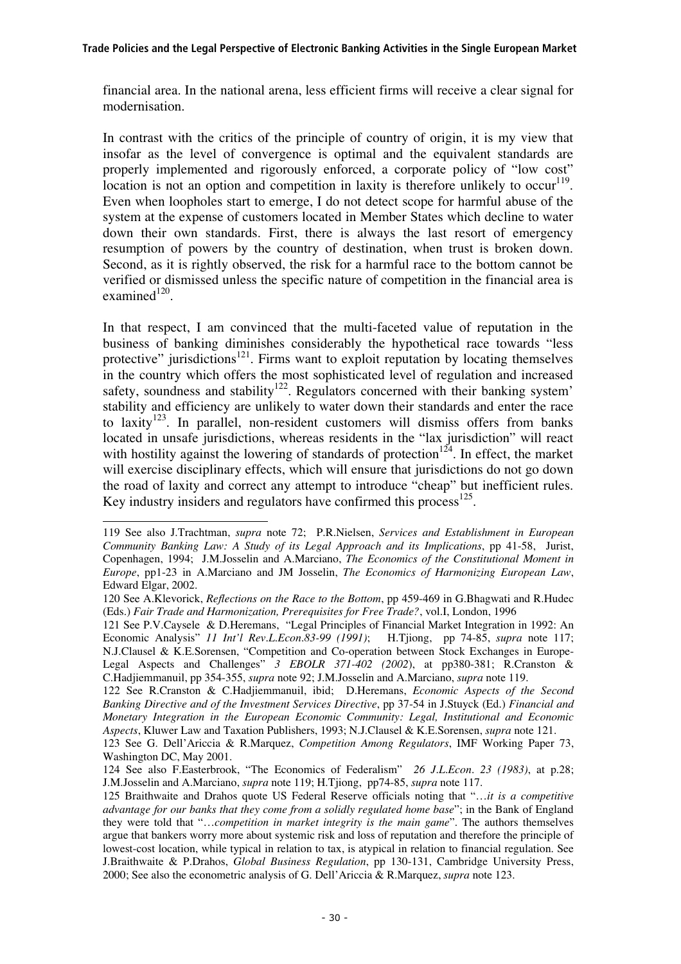financial area. In the national arena, less efficient firms will receive a clear signal for modernisation.

In contrast with the critics of the principle of country of origin, it is my view that insofar as the level of convergence is optimal and the equivalent standards are properly implemented and rigorously enforced, a corporate policy of "low cost" location is not an option and competition in laxity is therefore unlikely to occur<sup>119</sup>. Even when loopholes start to emerge, I do not detect scope for harmful abuse of the system at the expense of customers located in Member States which decline to water down their own standards. First, there is always the last resort of emergency resumption of powers by the country of destination, when trust is broken down. Second, as it is rightly observed, the risk for a harmful race to the bottom cannot be verified or dismissed unless the specific nature of competition in the financial area is examined $120$ .

In that respect, I am convinced that the multi-faceted value of reputation in the business of banking diminishes considerably the hypothetical race towards "less protective" jurisdictions $121$ . Firms want to exploit reputation by locating themselves in the country which offers the most sophisticated level of regulation and increased safety, soundness and stability<sup>122</sup>. Regulators concerned with their banking system' stability and efficiency are unlikely to water down their standards and enter the race to laxity<sup>123</sup>. In parallel, non-resident customers will dismiss offers from banks located in unsafe jurisdictions, whereas residents in the "lax jurisdiction" will react with hostility against the lowering of standards of protection<sup>124</sup>. In effect, the market will exercise disciplinary effects, which will ensure that jurisdictions do not go down the road of laxity and correct any attempt to introduce "cheap" but inefficient rules. Key industry insiders and regulators have confirmed this process $^{125}$ .

<sup>119</sup> See also J.Trachtman, *supra* note 72; P.R.Nielsen, *Services and Establishment in European Community Banking Law: A Study of its Legal Approach and its Implications*, pp 41-58, Jurist, Copenhagen, 1994; J.M.Josselin and A.Marciano, *The Economics of the Constitutional Moment in Europe*, pp1-23 in A.Marciano and JM Josselin, *The Economics of Harmonizing European Law*, Edward Elgar, 2002.

<sup>120</sup> See A.Klevorick, *Reflections on the Race to the Bottom*, pp 459-469 in G.Bhagwati and R.Hudec (Eds.) *Fair Trade and Harmonization, Prerequisites for Free Trade?*, vol.I, London, 1996

<sup>121</sup> See P.V.Caysele & D.Heremans, "Legal Principles of Financial Market Integration in 1992: An Economic Analysis" *11 Int'l Rev.L.Econ.83-99 (1991)*; H.Tjiong, pp 74-85, *supra* note 117; N.J.Clausel & K.E.Sorensen, "Competition and Co-operation between Stock Exchanges in Europe-Legal Aspects and Challenges" *3 EBOLR 371-402 (2002*), at pp380-381; R.Cranston & C.Hadjiemmanuil, pp 354-355, *supra* note 92; J.M.Josselin and A.Marciano, *supra* note 119.

<sup>122</sup> See R.Cranston & C.Hadjiemmanuil, ibid; D.Heremans, *Economic Aspects of the Second Banking Directive and of the Investment Services Directive*, pp 37-54 in J.Stuyck (Ed.) *Financial and Monetary Integration in the European Economic Community: Legal, Institutional and Economic Aspects*, Kluwer Law and Taxation Publishers, 1993; N.J.Clausel & K.E.Sorensen, *supra* note 121.

<sup>123</sup> See G. Dell'Ariccia & R.Marquez, *Competition Among Regulators*, IMF Working Paper 73, Washington DC, May 2001.

<sup>124</sup> See also F.Easterbrook, "The Economics of Federalism" *26 J.L.Econ. 23 (1983)*, at p.28; J.M.Josselin and A.Marciano, *supra* note 119; H.Tjiong, pp74-85, *supra* note 117.

<sup>125</sup> Braithwaite and Drahos quote US Federal Reserve officials noting that "…*it is a competitive advantage for our banks that they come from a solidly regulated home base*"; in the Bank of England they were told that "…*competition in market integrity is the main game*". The authors themselves argue that bankers worry more about systemic risk and loss of reputation and therefore the principle of lowest-cost location, while typical in relation to tax, is atypical in relation to financial regulation. See J.Braithwaite & P.Drahos, *Global Business Regulation*, pp 130-131, Cambridge University Press, 2000; See also the econometric analysis of G. Dell'Ariccia & R.Marquez, *supra* note 123.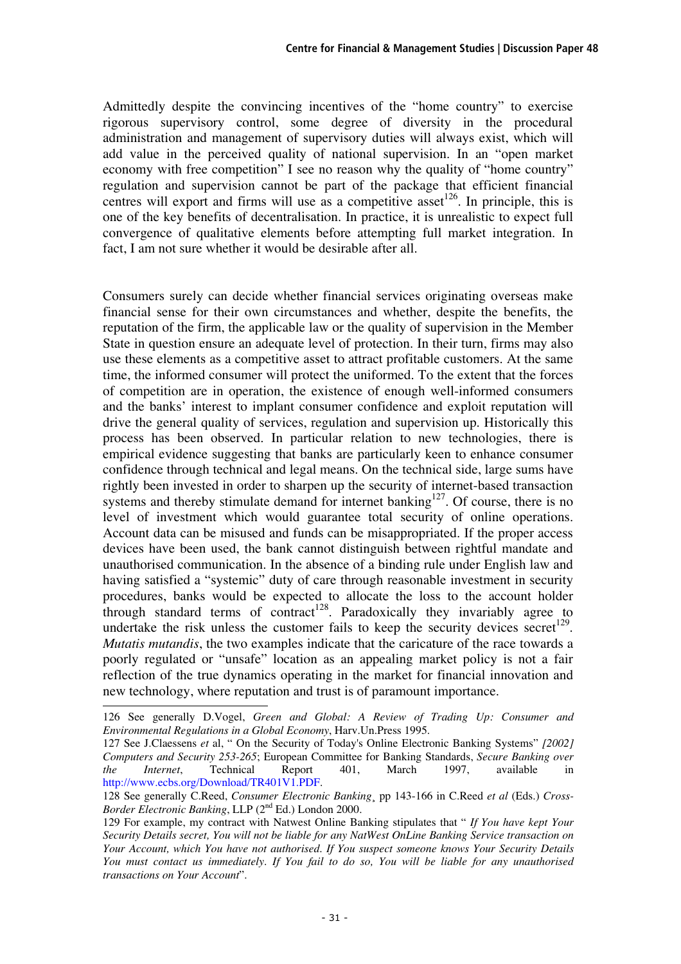Admittedly despite the convincing incentives of the "home country" to exercise rigorous supervisory control, some degree of diversity in the procedural administration and management of supervisory duties will always exist, which will add value in the perceived quality of national supervision. In an "open market economy with free competition" I see no reason why the quality of "home country" regulation and supervision cannot be part of the package that efficient financial centres will export and firms will use as a competitive asset  $126$ . In principle, this is one of the key benefits of decentralisation. In practice, it is unrealistic to expect full convergence of qualitative elements before attempting full market integration. In fact, I am not sure whether it would be desirable after all.

Consumers surely can decide whether financial services originating overseas make financial sense for their own circumstances and whether, despite the benefits, the reputation of the firm, the applicable law or the quality of supervision in the Member State in question ensure an adequate level of protection. In their turn, firms may also use these elements as a competitive asset to attract profitable customers. At the same time, the informed consumer will protect the uniformed. To the extent that the forces of competition are in operation, the existence of enough well-informed consumers and the banks' interest to implant consumer confidence and exploit reputation will drive the general quality of services, regulation and supervision up. Historically this process has been observed. In particular relation to new technologies, there is empirical evidence suggesting that banks are particularly keen to enhance consumer confidence through technical and legal means. On the technical side, large sums have rightly been invested in order to sharpen up the security of internet-based transaction systems and thereby stimulate demand for internet banking<sup>127</sup>. Of course, there is no level of investment which would guarantee total security of online operations. Account data can be misused and funds can be misappropriated. If the proper access devices have been used, the bank cannot distinguish between rightful mandate and unauthorised communication. In the absence of a binding rule under English law and having satisfied a "systemic" duty of care through reasonable investment in security procedures, banks would be expected to allocate the loss to the account holder through standard terms of contract<sup>128</sup>. Paradoxically they invariably agree to undertake the risk unless the customer fails to keep the security devices secret<sup>129</sup>. *Mutatis mutandis*, the two examples indicate that the caricature of the race towards a poorly regulated or "unsafe" location as an appealing market policy is not a fair reflection of the true dynamics operating in the market for financial innovation and new technology, where reputation and trust is of paramount importance.

<sup>126</sup> See generally D.Vogel, *Green and Global: A Review of Trading Up: Consumer and Environmental Regulations in a Global Economy*, Harv.Un.Press 1995.

<sup>127</sup> See J.Claessens *et* al, " On the Security of Today's Online Electronic Banking Systems" *[2002] Computers and Security 253-265*; European Committee for Banking Standards, *Secure Banking over the Internet*, Technical Report 401, March 1997, available in http://www.ecbs.org/Download/TR401V1.PDF.

<sup>128</sup> See generally C.Reed, *Consumer Electronic Banking*¸ pp 143-166 in C.Reed *et al* (Eds.) *Cross-Border Electronic Banking*, LLP (2nd Ed.) London 2000.

<sup>129</sup> For example, my contract with Natwest Online Banking stipulates that " *If You have kept Your Security Details secret, You will not be liable for any NatWest OnLine Banking Service transaction on Your Account, which You have not authorised. If You suspect someone knows Your Security Details You must contact us immediately. If You fail to do so, You will be liable for any unauthorised transactions on Your Account*".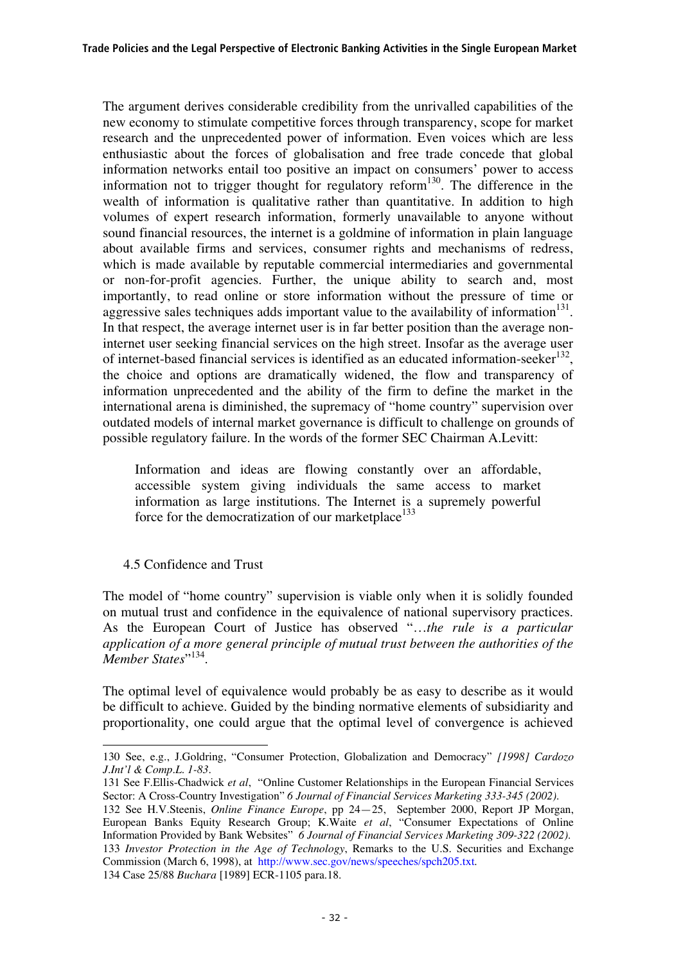The argument derives considerable credibility from the unrivalled capabilities of the new economy to stimulate competitive forces through transparency, scope for market research and the unprecedented power of information. Even voices which are less enthusiastic about the forces of globalisation and free trade concede that global information networks entail too positive an impact on consumers' power to access information not to trigger thought for regulatory reform<sup>130</sup>. The difference in the wealth of information is qualitative rather than quantitative. In addition to high volumes of expert research information, formerly unavailable to anyone without sound financial resources, the internet is a goldmine of information in plain language about available firms and services, consumer rights and mechanisms of redress, which is made available by reputable commercial intermediaries and governmental or non-for-profit agencies. Further, the unique ability to search and, most importantly, to read online or store information without the pressure of time or aggressive sales techniques adds important value to the availability of information $^{131}$ . In that respect, the average internet user is in far better position than the average noninternet user seeking financial services on the high street. Insofar as the average user of internet-based financial services is identified as an educated information-seeker<sup>132</sup>. the choice and options are dramatically widened, the flow and transparency of information unprecedented and the ability of the firm to define the market in the international arena is diminished, the supremacy of "home country" supervision over outdated models of internal market governance is difficult to challenge on grounds of possible regulatory failure. In the words of the former SEC Chairman A.Levitt:

Information and ideas are flowing constantly over an affordable, accessible system giving individuals the same access to market information as large institutions. The Internet is a supremely powerful force for the democratization of our marketplace $133$ 

### 4.5 Confidence and Trust

The model of "home country" supervision is viable only when it is solidly founded on mutual trust and confidence in the equivalence of national supervisory practices. As the European Court of Justice has observed "…*the rule is a particular application of a more general principle of mutual trust between the authorities of the Member States*" 134.

The optimal level of equivalence would probably be as easy to describe as it would be difficult to achieve. Guided by the binding normative elements of subsidiarity and proportionality, one could argue that the optimal level of convergence is achieved

<sup>130</sup> See, e.g., J.Goldring, "Consumer Protection, Globalization and Democracy" *[1998] Cardozo J.Int'l & Comp.L. 1-83.*

<sup>131</sup> See F.Ellis-Chadwick *et al*, "Online Customer Relationships in the European Financial Services Sector: A Cross-Country Investigation" *6 Journal of Financial Services Marketing 333-345 (2002).*

<sup>132</sup> See H.V.Steenis, *Online Finance Europe*, pp 24—25, September 2000, Report JP Morgan, European Banks Equity Research Group; K.Waite *et al*, "Consumer Expectations of Online Information Provided by Bank Websites" *6 Journal of Financial Services Marketing 309-322 (2002).* 133 *Investor Protection in the Age of Technology*, Remarks to the U.S. Securities and Exchange Commission (March 6, 1998), at http://www.sec.gov/news/speeches/spch205.txt. 134 Case 25/88 *Buchara* [1989] ECR-1105 para.18.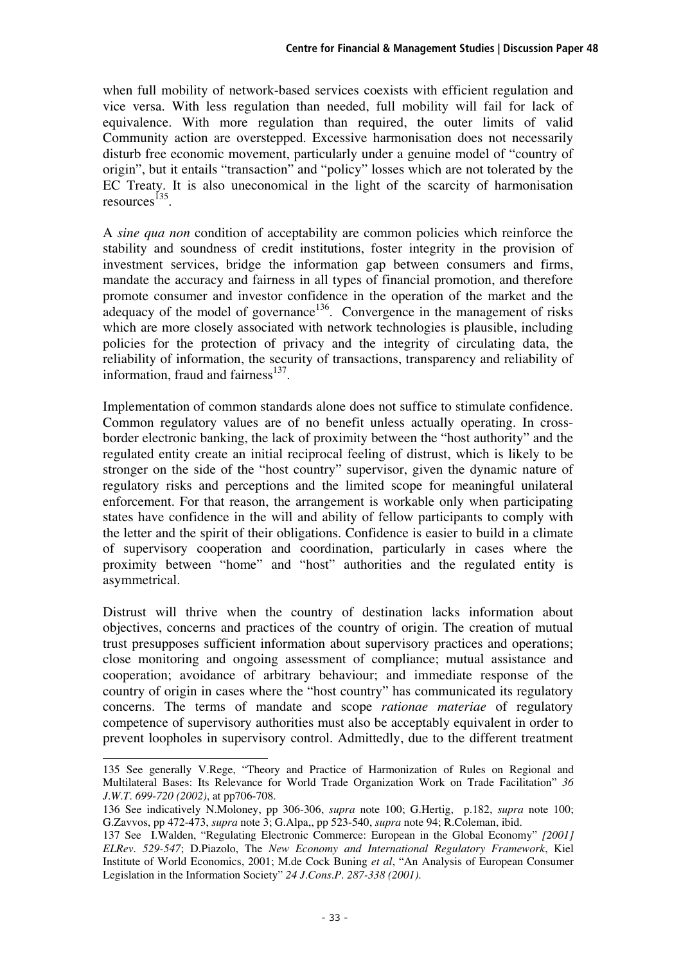when full mobility of network-based services coexists with efficient regulation and vice versa. With less regulation than needed, full mobility will fail for lack of equivalence. With more regulation than required, the outer limits of valid Community action are overstepped. Excessive harmonisation does not necessarily disturb free economic movement, particularly under a genuine model of "country of origin", but it entails "transaction" and "policy" losses which are not tolerated by the EC Treaty. It is also uneconomical in the light of the scarcity of harmonisation resources<sup>135</sup>.

A *sine qua non* condition of acceptability are common policies which reinforce the stability and soundness of credit institutions, foster integrity in the provision of investment services, bridge the information gap between consumers and firms, mandate the accuracy and fairness in all types of financial promotion, and therefore promote consumer and investor confidence in the operation of the market and the adequacy of the model of governance<sup>136</sup>. Convergence in the management of risks which are more closely associated with network technologies is plausible, including policies for the protection of privacy and the integrity of circulating data, the reliability of information, the security of transactions, transparency and reliability of information, fraud and fairness $^{137}$ .

Implementation of common standards alone does not suffice to stimulate confidence. Common regulatory values are of no benefit unless actually operating. In crossborder electronic banking, the lack of proximity between the "host authority" and the regulated entity create an initial reciprocal feeling of distrust, which is likely to be stronger on the side of the "host country" supervisor, given the dynamic nature of regulatory risks and perceptions and the limited scope for meaningful unilateral enforcement. For that reason, the arrangement is workable only when participating states have confidence in the will and ability of fellow participants to comply with the letter and the spirit of their obligations. Confidence is easier to build in a climate of supervisory cooperation and coordination, particularly in cases where the proximity between "home" and "host" authorities and the regulated entity is asymmetrical.

Distrust will thrive when the country of destination lacks information about objectives, concerns and practices of the country of origin. The creation of mutual trust presupposes sufficient information about supervisory practices and operations; close monitoring and ongoing assessment of compliance; mutual assistance and cooperation; avoidance of arbitrary behaviour; and immediate response of the country of origin in cases where the "host country" has communicated its regulatory concerns. The terms of mandate and scope *rationae materiae* of regulatory competence of supervisory authorities must also be acceptably equivalent in order to prevent loopholes in supervisory control. Admittedly, due to the different treatment

<sup>135</sup> See generally V.Rege, "Theory and Practice of Harmonization of Rules on Regional and Multilateral Bases: Its Relevance for World Trade Organization Work on Trade Facilitation" *36 J.W.T. 699-720 (2002)*, at pp706-708.

<sup>136</sup> See indicatively N.Moloney, pp 306-306, *supra* note 100; G.Hertig, p.182, *supra* note 100; G.Zavvos, pp 472-473, *supra* note 3; G.Alpa,, pp 523-540, *supra* note 94; R.Coleman, ibid.

<sup>137</sup> See I.Walden, "Regulating Electronic Commerce: European in the Global Economy" *[2001] ELRev. 529-547*; D.Piazolo, The *New Economy and International Regulatory Framework*, Kiel Institute of World Economics, 2001; M.de Cock Buning *et al*, "An Analysis of European Consumer Legislation in the Information Society" *24 J.Cons.P. 287-338 (2001)*.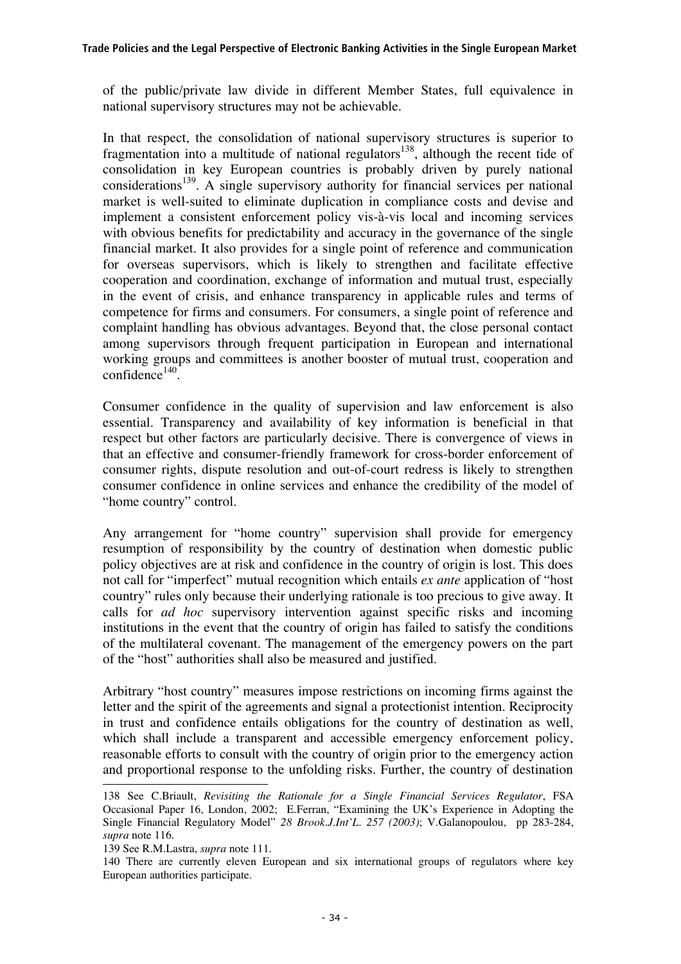of the public/private law divide in different Member States, full equivalence in national supervisory structures may not be achievable.

In that respect, the consolidation of national supervisory structures is superior to fragmentation into a multitude of national regulators<sup>138</sup>, although the recent tide of consolidation in key European countries is probably driven by purely national considerations<sup>139</sup>. A single supervisory authority for financial services per national market is well-suited to eliminate duplication in compliance costs and devise and implement a consistent enforcement policy vis-à-vis local and incoming services with obvious benefits for predictability and accuracy in the governance of the single financial market. It also provides for a single point of reference and communication for overseas supervisors, which is likely to strengthen and facilitate effective cooperation and coordination, exchange of information and mutual trust, especially in the event of crisis, and enhance transparency in applicable rules and terms of competence for firms and consumers. For consumers, a single point of reference and complaint handling has obvious advantages. Beyond that, the close personal contact among supervisors through frequent participation in European and international working groups and committees is another booster of mutual trust, cooperation and  $confidence<sup>140</sup>$ 

Consumer confidence in the quality of supervision and law enforcement is also essential. Transparency and availability of key information is beneficial in that respect but other factors are particularly decisive. There is convergence of views in that an effective and consumer-friendly framework for cross-border enforcement of consumer rights, dispute resolution and out-of-court redress is likely to strengthen consumer confidence in online services and enhance the credibility of the model of "home country" control.

Any arrangement for "home country" supervision shall provide for emergency resumption of responsibility by the country of destination when domestic public policy objectives are at risk and confidence in the country of origin is lost. This does not call for "imperfect" mutual recognition which entails *ex ante* application of "host country" rules only because their underlying rationale is too precious to give away. It calls for *ad hoc* supervisory intervention against specific risks and incoming institutions in the event that the country of origin has failed to satisfy the conditions of the multilateral covenant. The management of the emergency powers on the part of the "host" authorities shall also be measured and justified.

Arbitrary "host country" measures impose restrictions on incoming firms against the letter and the spirit of the agreements and signal a protectionist intention. Reciprocity in trust and confidence entails obligations for the country of destination as well, which shall include a transparent and accessible emergency enforcement policy, reasonable efforts to consult with the country of origin prior to the emergency action and proportional response to the unfolding risks. Further, the country of destination

<sup>138</sup> See C.Briault, *Revisiting the Rationale for a Single Financial Services Regulator*, FSA Occasional Paper 16, London, 2002; E.Ferran, "Examining the UK's Experience in Adopting the Single Financial Regulatory Model" *28 Brook.J.Int'L. 257 (2003)*; V.Galanopoulou, pp 283-284, *supra* note 116.

<sup>139</sup> See R.M.Lastra, *supra* note 111.

<sup>140</sup> There are currently eleven European and six international groups of regulators where key European authorities participate.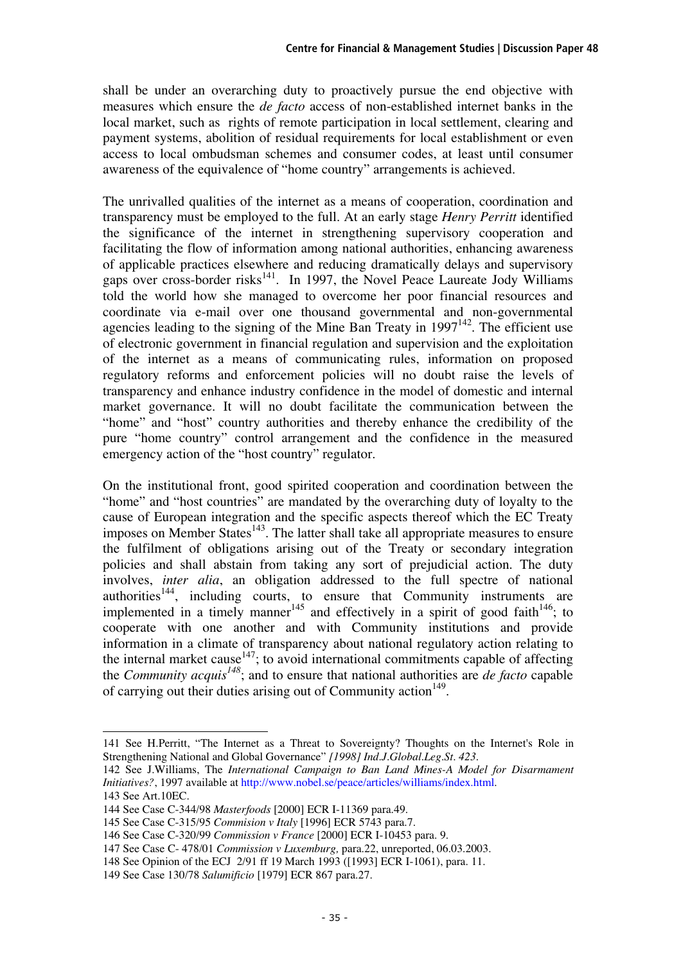shall be under an overarching duty to proactively pursue the end objective with measures which ensure the *de facto* access of non-established internet banks in the local market, such as rights of remote participation in local settlement, clearing and payment systems, abolition of residual requirements for local establishment or even access to local ombudsman schemes and consumer codes, at least until consumer awareness of the equivalence of "home country" arrangements is achieved.

The unrivalled qualities of the internet as a means of cooperation, coordination and transparency must be employed to the full. At an early stage *Henry Perritt* identified the significance of the internet in strengthening supervisory cooperation and facilitating the flow of information among national authorities, enhancing awareness of applicable practices elsewhere and reducing dramatically delays and supervisory gaps over cross-border risks<sup>141</sup>. In 1997, the Novel Peace Laureate Jody Williams told the world how she managed to overcome her poor financial resources and coordinate via e-mail over one thousand governmental and non-governmental agencies leading to the signing of the Mine Ban Treaty in  $1997<sup>142</sup>$ . The efficient use of electronic government in financial regulation and supervision and the exploitation of the internet as a means of communicating rules, information on proposed regulatory reforms and enforcement policies will no doubt raise the levels of transparency and enhance industry confidence in the model of domestic and internal market governance. It will no doubt facilitate the communication between the "home" and "host" country authorities and thereby enhance the credibility of the pure "home country" control arrangement and the confidence in the measured emergency action of the "host country" regulator.

On the institutional front, good spirited cooperation and coordination between the "home" and "host countries" are mandated by the overarching duty of loyalty to the cause of European integration and the specific aspects thereof which the EC Treaty imposes on Member States $^{143}$ . The latter shall take all appropriate measures to ensure the fulfilment of obligations arising out of the Treaty or secondary integration policies and shall abstain from taking any sort of prejudicial action. The duty involves, *inter alia*, an obligation addressed to the full spectre of national authorities<sup>144</sup>, including courts, to ensure that Community instruments are implemented in a timely manner<sup>145</sup> and effectively in a spirit of good faith<sup>146</sup>; to cooperate with one another and with Community institutions and provide information in a climate of transparency about national regulatory action relating to the internal market cause  $147$ ; to avoid international commitments capable of affecting the *Community acquis<sup>148</sup>*; and to ensure that national authorities are *de facto* capable of carrying out their duties arising out of Community action<sup>149</sup>.

<sup>141</sup> See H.Perritt, "The Internet as a Threat to Sovereignty? Thoughts on the Internet's Role in Strengthening National and Global Governance" *[1998] Ind.J.Global.Leg.St. 423.*

<sup>142</sup> See J.Williams, The *International Campaign to Ban Land Mines-A Model for Disarmament Initiatives?*, 1997 available at http://www.nobel.se/peace/articles/williams/index.html.

<sup>143</sup> See Art.10EC.

<sup>144</sup> See Case C-344/98 *Masterfoods* [2000] ECR I-11369 para.49.

<sup>145</sup> See Case C-315/95 *Commision v Italy* [1996] ECR 5743 para.7.

<sup>146</sup> See Case C-320/99 *Commission v France* [2000] ECR I-10453 para. 9.

<sup>147</sup> See Case C- 478/01 *Commission v Luxemburg,* para.22, unreported, 06.03.2003.

<sup>148</sup> See Opinion of the ECJ 2/91 ff 19 March 1993 ([1993] ECR I-1061), para. 11.

<sup>149</sup> See Case 130/78 *Salumificio* [1979] ECR 867 para.27.